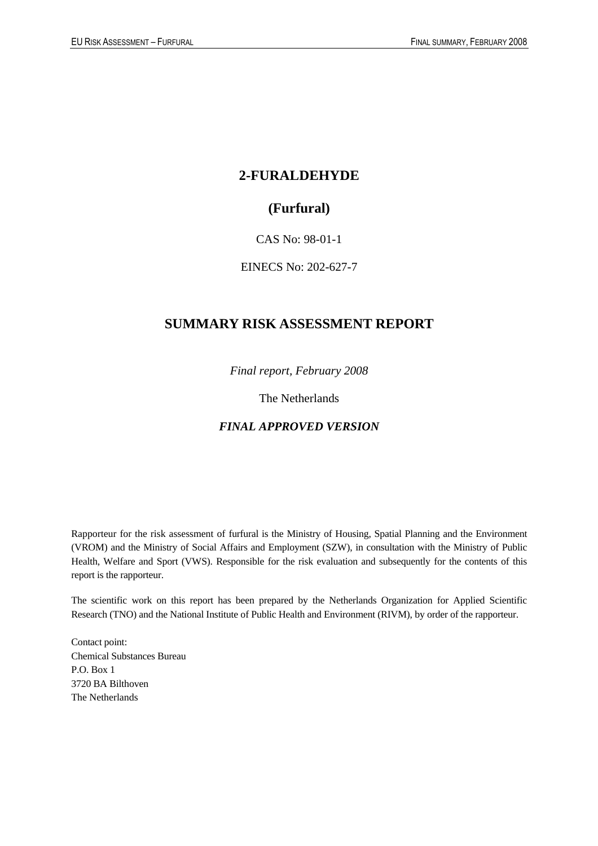## **2-FURALDEHYDE**

## **(Furfural)**

### CAS No: 98-01-1

### EINECS No: 202-627-7

## **SUMMARY RISK ASSESSMENT REPORT**

*Final report, February 2008*

The Netherlands

### *FINAL APPROVED VERSION*

Rapporteur for the risk assessment of furfural is the Ministry of Housing, Spatial Planning and the Environment (VROM) and the Ministry of Social Affairs and Employment (SZW), in consultation with the Ministry of Public Health, Welfare and Sport (VWS). Responsible for the risk evaluation and subsequently for the contents of this report is the rapporteur.

The scientific work on this report has been prepared by the Netherlands Organization for Applied Scientific Research (TNO) and the National Institute of Public Health and Environment (RIVM), by order of the rapporteur.

Contact point: Chemical Substances Bureau P.O. Box 1 3720 BA Bilthoven The Netherlands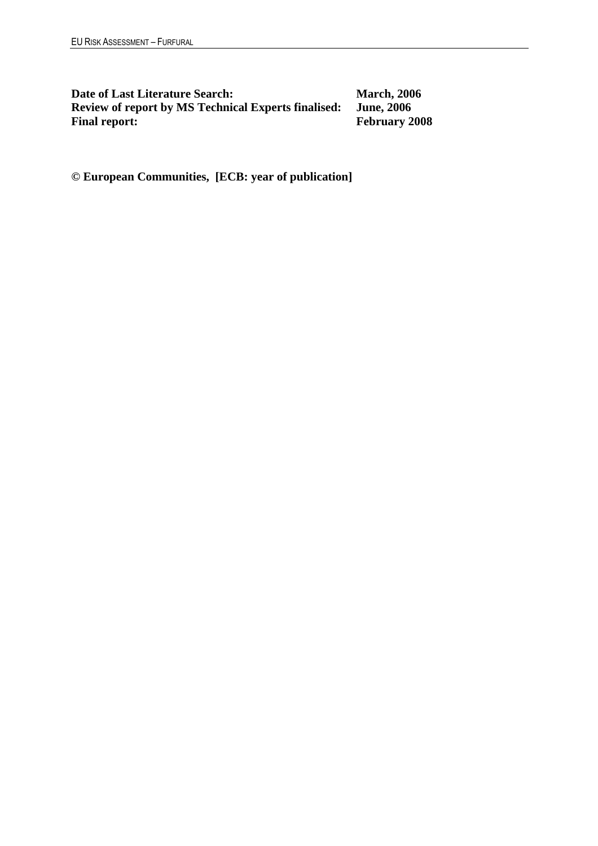**Date of Last Literature Search:** March, 2006<br>Review of report by MS Technical Experts finalised: June, 2006 **Review of report by MS Technical Experts finalised:** Final report:

**February 2008** 

**© European Communities, [ECB: year of publication]**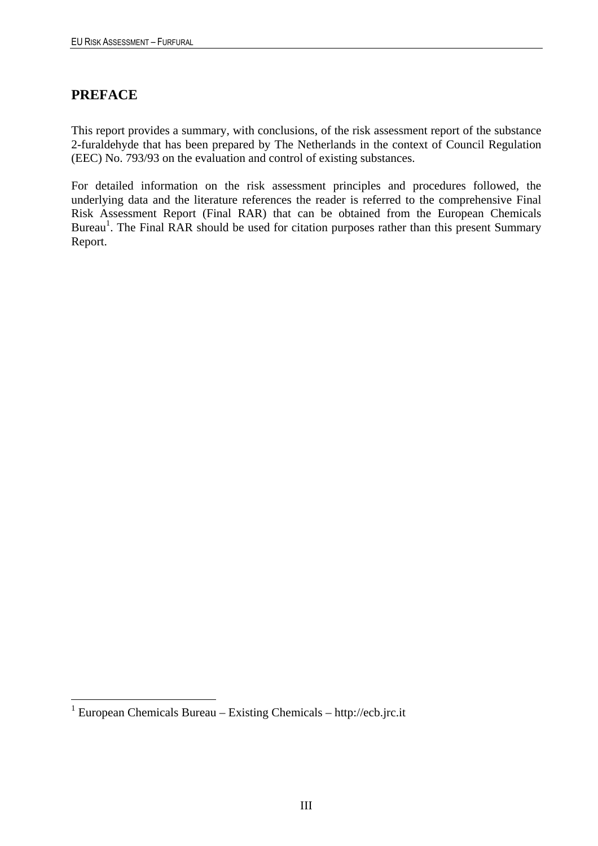## **PREFACE**

 $\overline{a}$ 

This report provides a summary, with conclusions, of the risk assessment report of the substance 2-furaldehyde that has been prepared by The Netherlands in the context of Council Regulation (EEC) No. 793/93 on the evaluation and control of existing substances.

For detailed information on the risk assessment principles and procedures followed, the underlying data and the literature references the reader is referred to the comprehensive Final Risk Assessment Report (Final RAR) that can be obtained from the European Chemicals Bureau<sup>1</sup>. The Final RAR should be used for citation purposes rather than this present Summary Report.

<sup>&</sup>lt;sup>1</sup> European Chemicals Bureau – Existing Chemicals – http://ecb.jrc.it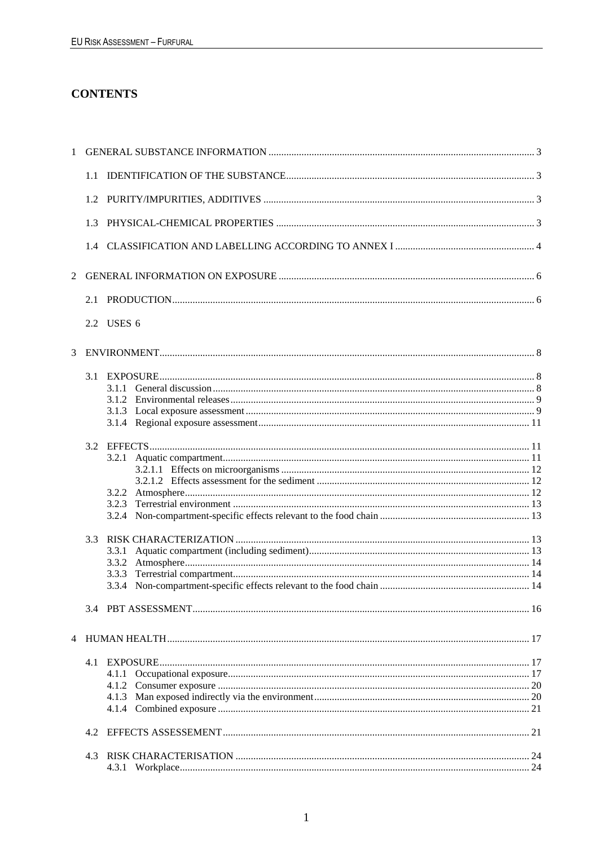## **CONTENTS**

| 1 |     |                 |    |
|---|-----|-----------------|----|
|   | 1.1 |                 |    |
|   |     |                 |    |
|   | 1.3 |                 |    |
|   | 1.4 |                 |    |
| 2 |     |                 |    |
|   | 2.1 |                 |    |
|   |     | 2.2 USES 6      |    |
| 3 |     |                 |    |
|   | 3.1 |                 |    |
|   |     |                 |    |
|   |     |                 |    |
|   |     |                 |    |
|   | 3.2 |                 |    |
|   |     |                 |    |
|   |     |                 |    |
|   |     |                 |    |
|   |     |                 |    |
|   |     |                 |    |
|   | 3.3 |                 |    |
|   |     | 3.3.1           |    |
|   |     | 3.3.2<br>3.3.3  |    |
|   |     |                 |    |
|   |     |                 |    |
| 4 |     |                 |    |
|   | 4.1 |                 |    |
|   |     |                 |    |
|   |     |                 |    |
|   |     |                 |    |
|   |     |                 |    |
|   | 4.2 |                 |    |
|   | 4.3 |                 |    |
|   |     | 4.3.1 Workplace | 24 |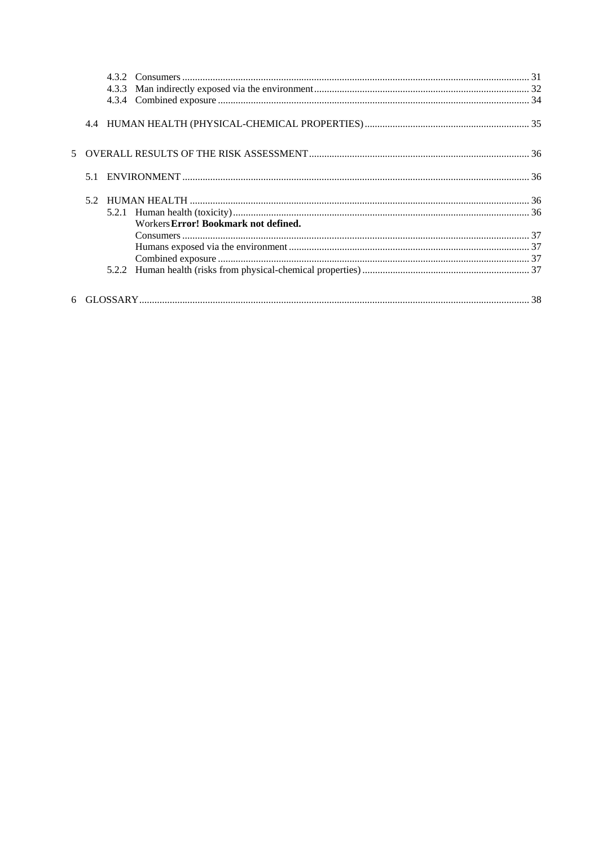| 5.1 |                                      |  |
|-----|--------------------------------------|--|
| 52  |                                      |  |
|     |                                      |  |
|     | Workers Error! Bookmark not defined. |  |
|     |                                      |  |
|     |                                      |  |
|     |                                      |  |
|     |                                      |  |
|     |                                      |  |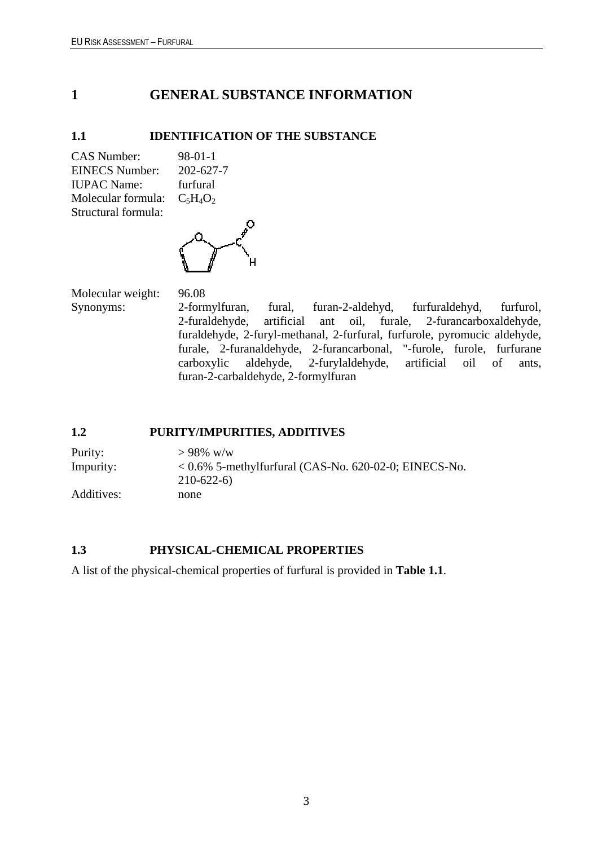## <span id="page-6-0"></span>**1 GENERAL SUBSTANCE INFORMATION**

### <span id="page-6-1"></span>**1.1 IDENTIFICATION OF THE SUBSTANCE**

CAS Number: 98-01-1 EINECS Number: 202-627-7 IUPAC Name: furfural Molecular formula:  $C_5H_4O_2$ Structural formula:



Molecular weight: 96.08 Synonyms: 2-formylfuran, fural, furan-2-aldehyd, furfuraldehyd, furfurol, 2-furaldehyde, artificial ant oil, furale, 2-furancarboxaldehyde, furaldehyde, 2-furyl-methanal, 2-furfural, furfurole, pyromucic aldehyde, furale, 2-furanaldehyde, 2-furancarbonal, "-furole, furole, furfurane carboxylic aldehyde, 2-furylaldehyde, artificial oil of ants, furan-2-carbaldehyde, 2-formylfuran

### <span id="page-6-2"></span>**1.2 PURITY/IMPURITIES, ADDITIVES**

Purity:  $> 98\%$  w/w Impurity: < 0.6% 5-methylfurfural (CAS-No. 620-02-0; EINECS-No. 210-622-6) Additives: none

### <span id="page-6-3"></span>**1.3 PHYSICAL-CHEMICAL PROPERTIES**

A list of the physical-chemical properties of furfural is provided in **Table 1.1**.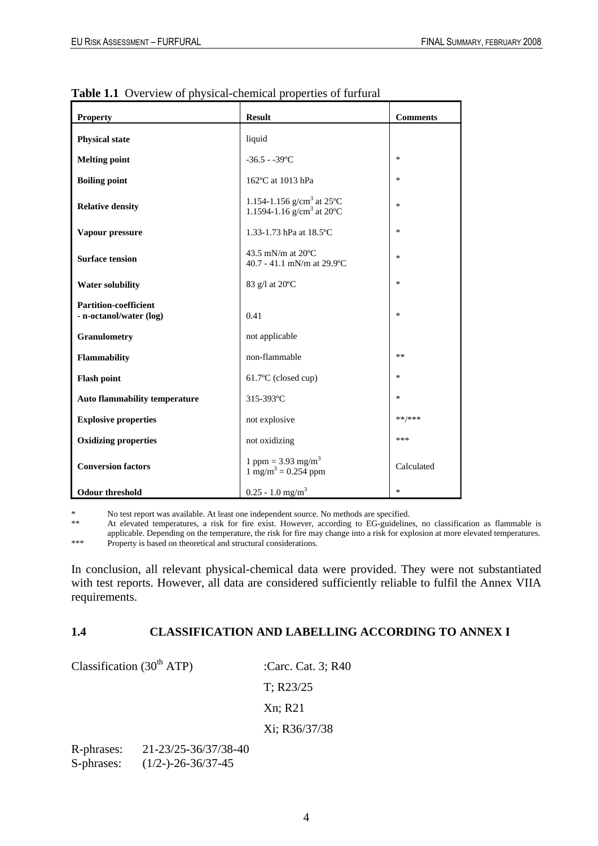| <b>Property</b>                                         | <b>Result</b>                                                              | <b>Comments</b> |
|---------------------------------------------------------|----------------------------------------------------------------------------|-----------------|
| <b>Physical state</b>                                   | liquid                                                                     |                 |
| <b>Melting point</b>                                    | $-36.5 - -39$ °C                                                           | *               |
| <b>Boiling point</b>                                    | 162°C at 1013 hPa                                                          | $\ast$          |
| <b>Relative density</b>                                 | 1.154-1.156 g/cm <sup>3</sup> at 25°C<br>1.1594-1.16 $g/cm3$ at 20°C       | *               |
| Vapour pressure                                         | 1.33-1.73 hPa at 18.5°C                                                    | $\ast$          |
| <b>Surface tension</b>                                  | 43.5 mN/m at $20^{\circ}$ C<br>40.7 - 41.1 mN/m at 29.9°C                  | *               |
| <b>Water solubility</b>                                 | 83 g/l at 20°C                                                             | *               |
| <b>Partition-coefficient</b><br>- n-octanol/water (log) | 0.41                                                                       | $\ast$          |
| <b>Granulometry</b>                                     | not applicable                                                             |                 |
| Flammability                                            | non-flammable                                                              | **              |
| <b>Flash point</b>                                      | 61.7°C (closed cup)                                                        | $\ast$          |
| <b>Auto flammability temperature</b>                    | 315-393°C                                                                  | $\ast$          |
| <b>Explosive properties</b>                             | not explosive                                                              | **/***          |
| <b>Oxidizing properties</b>                             | not oxidizing                                                              | ***             |
| <b>Conversion factors</b>                               | 1 ppm = $3.93$ mg/m <sup>3</sup><br>$1 \text{ mg/m}^3 = 0.254 \text{ ppm}$ | Calculated      |
| <b>Odour threshold</b>                                  | $0.25 - 1.0$ mg/m <sup>3</sup>                                             | *               |

**Table 1.1** Overview of physical-chemical properties of furfural

\* No test report was available. At least one independent source. No methods are specified.<br>\* At elevated temperatures a risk for fire exist. However, according to EG quideline

At elevated temperatures, a risk for fire exist. However, according to EG-guidelines, no classification as flammable is applicable. Depending on the temperature, the risk for fire may change into a risk for explosion at more elevated temperatures. \*\*\* Property is based on theoretical and structural considerations.

In conclusion, all relevant physical-chemical data were provided. They were not substantiated with test reports. However, all data are considered sufficiently reliable to fulfil the Annex VIIA requirements.

### <span id="page-7-0"></span>**1.4 CLASSIFICATION AND LABELLING ACCORDING TO ANNEX I**

Classification  $(30<sup>th</sup> ATP)$  :Carc. Cat. 3; R40 T; R23/25 Xn; R21 Xi; R36/37/38

R-phrases: 21-23/25-36/37/38-40 S-phrases: (1/2-)-26-36/37-45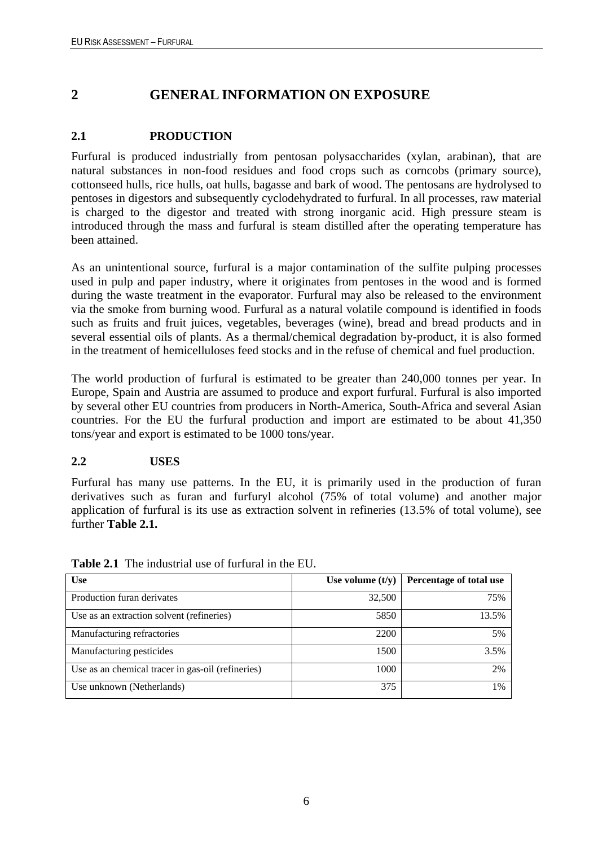# <span id="page-9-0"></span>**2 GENERAL INFORMATION ON EXPOSURE**

## <span id="page-9-1"></span>**2.1 PRODUCTION**

Furfural is produced industrially from pentosan polysaccharides (xylan, arabinan), that are natural substances in non-food residues and food crops such as corncobs (primary source), cottonseed hulls, rice hulls, oat hulls, bagasse and bark of wood. The pentosans are hydrolysed to pentoses in digestors and subsequently cyclodehydrated to furfural. In all processes, raw material is charged to the digestor and treated with strong inorganic acid. High pressure steam is introduced through the mass and furfural is steam distilled after the operating temperature has been attained.

As an unintentional source, furfural is a major contamination of the sulfite pulping processes used in pulp and paper industry, where it originates from pentoses in the wood and is formed during the waste treatment in the evaporator. Furfural may also be released to the environment via the smoke from burning wood. Furfural as a natural volatile compound is identified in foods such as fruits and fruit juices, vegetables, beverages (wine), bread and bread products and in several essential oils of plants. As a thermal/chemical degradation by-product, it is also formed in the treatment of hemicelluloses feed stocks and in the refuse of chemical and fuel production.

The world production of furfural is estimated to be greater than 240,000 tonnes per year. In Europe, Spain and Austria are assumed to produce and export furfural. Furfural is also imported by several other EU countries from producers in North-America, South-Africa and several Asian countries. For the EU the furfural production and import are estimated to be about 41,350 tons/year and export is estimated to be 1000 tons/year.

### <span id="page-9-2"></span>**2.2 USES**

Furfural has many use patterns. In the EU, it is primarily used in the production of furan derivatives such as furan and furfuryl alcohol (75% of total volume) and another major application of furfural is its use as extraction solvent in refineries (13.5% of total volume), see further **Table 2.1.** 

| <b>Use</b>                                        | Use volume $(t/y)$ | Percentage of total use |
|---------------------------------------------------|--------------------|-------------------------|
| Production furan derivates                        | 32,500             | 75%                     |
| Use as an extraction solvent (refineries)         | 5850               | 13.5%                   |
| Manufacturing refractories                        | 2200               | 5%                      |
| Manufacturing pesticides                          | 1500               | 3.5%                    |
| Use as an chemical tracer in gas-oil (refineries) | 1000               | 2%                      |
| Use unknown (Netherlands)                         | 375                | 1%                      |

**Table 2.1** The industrial use of furfural in the EU.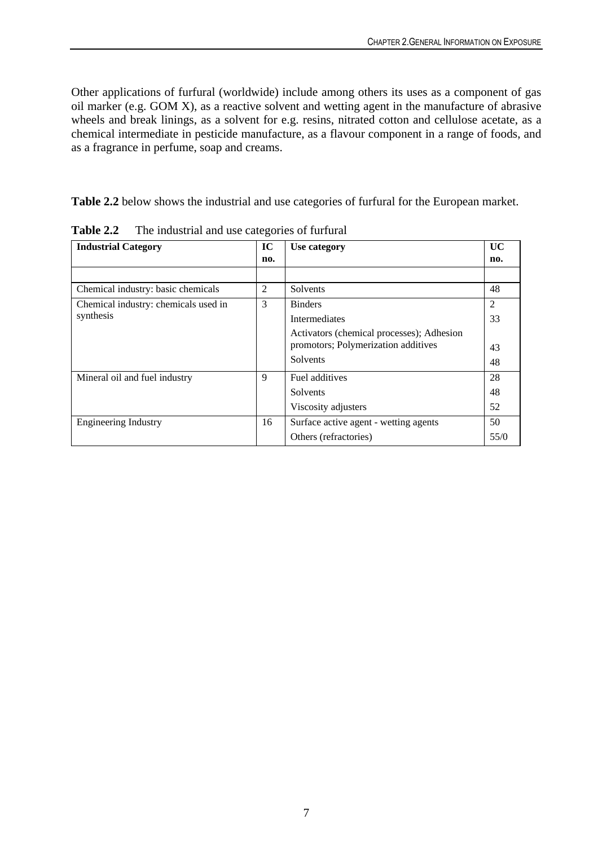Other applications of furfural (worldwide) include among others its uses as a component of gas oil marker (e.g. GOM X), as a reactive solvent and wetting agent in the manufacture of abrasive wheels and break linings, as a solvent for e.g. resins, nitrated cotton and cellulose acetate, as a chemical intermediate in pesticide manufacture, as a flavour component in a range of foods, and as a fragrance in perfume, soap and creams.

**Table 2.2** below shows the industrial and use categories of furfural for the European market.

| <b>Industrial Category</b>           | IC  | Use category                              | UC   |
|--------------------------------------|-----|-------------------------------------------|------|
|                                      | no. |                                           | no.  |
|                                      |     |                                           |      |
| Chemical industry: basic chemicals   | 2   | Solvents                                  | 48   |
| Chemical industry: chemicals used in | 3   | <b>Binders</b>                            | 2    |
| synthesis                            |     | <b>Intermediates</b>                      | 33   |
|                                      |     | Activators (chemical processes); Adhesion |      |
|                                      |     | promotors; Polymerization additives       | 43   |
|                                      |     | Solvents                                  | 48   |
| Mineral oil and fuel industry        | 9   | Fuel additives                            | 28   |
|                                      |     | Solvents                                  | 48   |
|                                      |     | Viscosity adjusters                       | 52   |
| Engineering Industry                 | 16  | Surface active agent - wetting agents     | 50   |
|                                      |     | Others (refractories)                     | 55/0 |

**Table 2.2** The industrial and use categories of furfural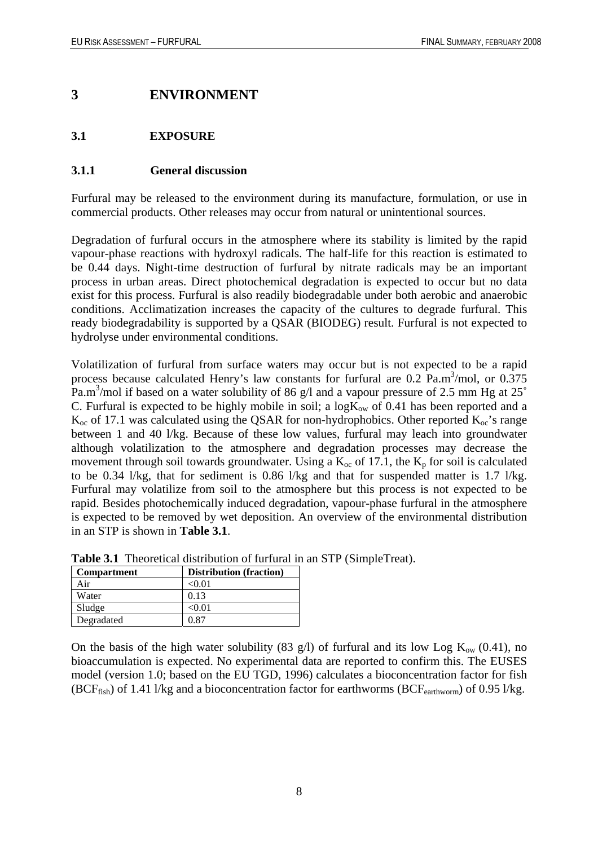## <span id="page-11-0"></span>**3 ENVIRONMENT**

### <span id="page-11-1"></span>**3.1 EXPOSURE**

#### <span id="page-11-2"></span>**3.1.1 General discussion**

Furfural may be released to the environment during its manufacture, formulation, or use in commercial products. Other releases may occur from natural or unintentional sources.

Degradation of furfural occurs in the atmosphere where its stability is limited by the rapid vapour-phase reactions with hydroxyl radicals. The half-life for this reaction is estimated to be 0.44 days. Night-time destruction of furfural by nitrate radicals may be an important process in urban areas. Direct photochemical degradation is expected to occur but no data exist for this process. Furfural is also readily biodegradable under both aerobic and anaerobic conditions. Acclimatization increases the capacity of the cultures to degrade furfural. This ready biodegradability is supported by a QSAR (BIODEG) result. Furfural is not expected to hydrolyse under environmental conditions.

Volatilization of furfural from surface waters may occur but is not expected to be a rapid process because calculated Henry's law constants for furfural are  $0.2$  Pa.m<sup>3</sup>/mol, or  $0.375$ Pa.m<sup>3</sup>/mol if based on a water solubility of 86 g/l and a vapour pressure of 2.5 mm Hg at 25 $^{\circ}$ C. Furfural is expected to be highly mobile in soil; a  $log K_{ow}$  of 0.41 has been reported and a  $K_{\rm oc}$  of 17.1 was calculated using the QSAR for non-hydrophobics. Other reported  $K_{\rm oc}$ 's range between 1 and 40 l/kg. Because of these low values, furfural may leach into groundwater although volatilization to the atmosphere and degradation processes may decrease the movement through soil towards groundwater. Using a  $K_{\text{oc}}$  of 17.1, the  $K_{\text{p}}$  for soil is calculated to be 0.34 l/kg, that for sediment is 0.86 l/kg and that for suspended matter is 1.7 l/kg. Furfural may volatilize from soil to the atmosphere but this process is not expected to be rapid. Besides photochemically induced degradation, vapour-phase furfural in the atmosphere is expected to be removed by wet deposition. An overview of the environmental distribution in an STP is shown in **Table 3.1**.

| <b>Compartment</b> | <b>Distribution</b> (fraction) |
|--------------------|--------------------------------|
| Air                | < 0.01                         |
| Water              | 0.13                           |
| Sludge             | < 0.01                         |
| Degradated         | በ Ջ7                           |

**Table 3.1** Theoretical distribution of furfural in an STP (SimpleTreat).

On the basis of the high water solubility (83 g/l) of furfural and its low Log  $K_{ow}$  (0.41), no bioaccumulation is expected. No experimental data are reported to confirm this. The EUSES model (version 1.0; based on the EU TGD, 1996) calculates a bioconcentration factor for fish (BCF<sub>fish</sub>) of 1.41 l/kg and a bioconcentration factor for earthworms (BCF<sub>earthworm</sub>) of 0.95 l/kg.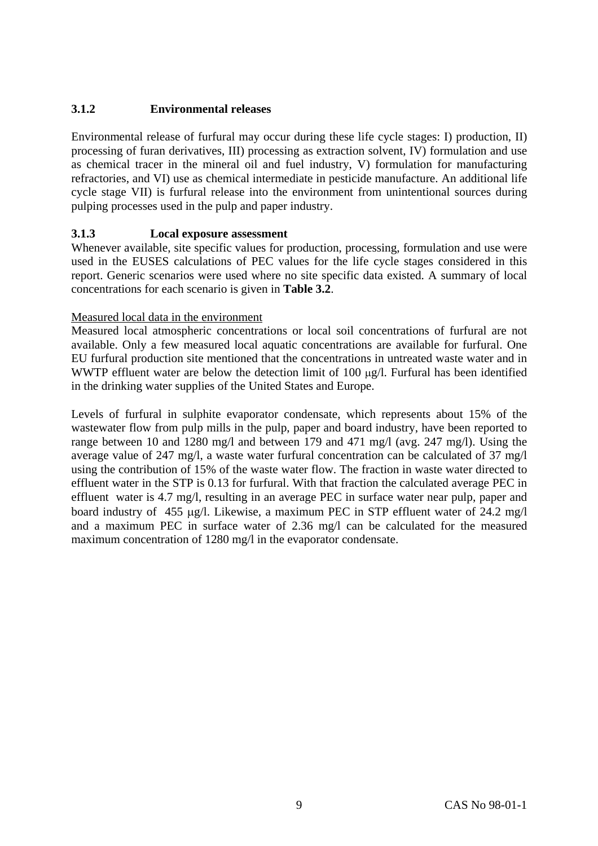### <span id="page-12-0"></span>**3.1.2 Environmental releases**

Environmental release of furfural may occur during these life cycle stages: I) production, II) processing of furan derivatives, III) processing as extraction solvent, IV) formulation and use as chemical tracer in the mineral oil and fuel industry, V) formulation for manufacturing refractories, and VI) use as chemical intermediate in pesticide manufacture. An additional life cycle stage VII) is furfural release into the environment from unintentional sources during pulping processes used in the pulp and paper industry.

### <span id="page-12-1"></span>**3.1.3 Local exposure assessment**

Whenever available, site specific values for production, processing, formulation and use were used in the EUSES calculations of PEC values for the life cycle stages considered in this report. Generic scenarios were used where no site specific data existed. A summary of local concentrations for each scenario is given in **Table 3.2**.

#### Measured local data in the environment

Measured local atmospheric concentrations or local soil concentrations of furfural are not available. Only a few measured local aquatic concentrations are available for furfural. One EU furfural production site mentioned that the concentrations in untreated waste water and in WWTP effluent water are below the detection limit of 100  $\mu$ g/l. Furfural has been identified in the drinking water supplies of the United States and Europe.

Levels of furfural in sulphite evaporator condensate, which represents about 15% of the wastewater flow from pulp mills in the pulp, paper and board industry, have been reported to range between 10 and 1280 mg/l and between 179 and 471 mg/l (avg. 247 mg/l). Using the average value of 247 mg/l, a waste water furfural concentration can be calculated of 37 mg/l using the contribution of 15% of the waste water flow. The fraction in waste water directed to effluent water in the STP is 0.13 for furfural. With that fraction the calculated average PEC in effluent water is 4.7 mg/l, resulting in an average PEC in surface water near pulp, paper and board industry of 455 µg/l. Likewise, a maximum PEC in STP effluent water of 24.2 mg/l and a maximum PEC in surface water of 2.36 mg/l can be calculated for the measured maximum concentration of 1280 mg/l in the evaporator condensate.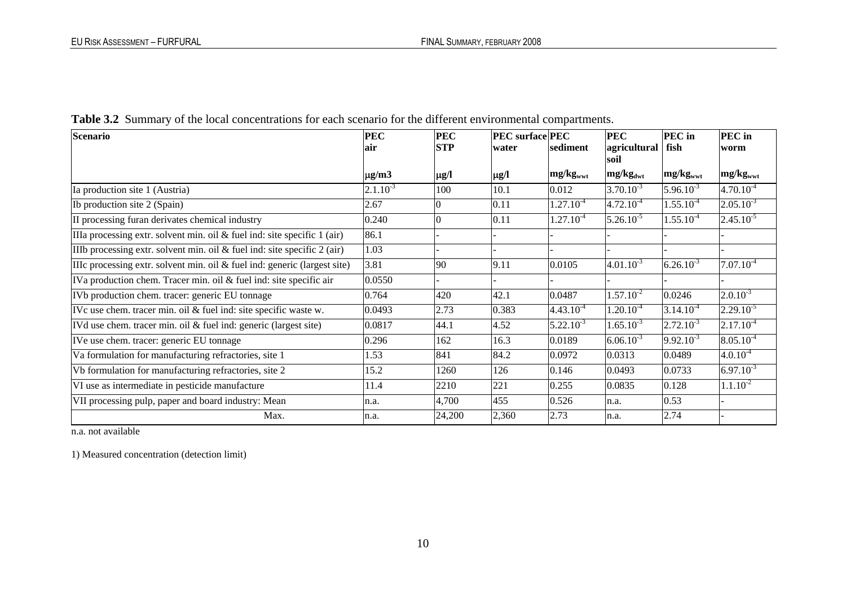| <b>Scenario</b>                                                             | <b>PEC</b>    | <b>PEC</b> | <b>PEC</b> surface PEC |                      | <b>PEC</b>           | <b>PEC</b> in        | PEC in               |
|-----------------------------------------------------------------------------|---------------|------------|------------------------|----------------------|----------------------|----------------------|----------------------|
|                                                                             | lair          | <b>STP</b> | water                  | sediment             | agricultural         | fish                 | worm                 |
|                                                                             |               |            |                        |                      | soil                 |                      |                      |
|                                                                             | $\mu$ g/m3    | $\mu$ g/l  | $\mu$ g/l              | mg/kg <sub>wwt</sub> | mg/kg <sub>dwt</sub> | mg/kg <sub>wwt</sub> | mg/kg <sub>wwt</sub> |
| Ia production site 1 (Austria)                                              | $2.1.10^{-3}$ | 100        | 10.1                   | 0.012                | $3.70.10^{-3}$       | $5.96.10^{-3}$       | $4.70.10^{-4}$       |
| Ib production site 2 (Spain)                                                | 2.67          |            | 0.11                   | $1.27.10^{-4}$       | $4.72.10^{-4}$       | $1.55.10^{-4}$       | $2.05.10^{-3}$       |
| II processing furan derivates chemical industry                             | 0.240         |            | 0.11                   | $1.27.10^{-4}$       | $5.26.10^{-5}$       | $1.55.10^{-4}$       | $2.45.10^{-5}$       |
| IIIa processing extr. solvent min. oil $\&$ fuel ind: site specific 1 (air) | 86.1          |            |                        |                      |                      |                      |                      |
| IIIb processing extr. solvent min. oil $\&$ fuel ind: site specific 2 (air) | 1.03          |            |                        |                      |                      |                      |                      |
| IIIc processing extr. solvent min. oil & fuel ind: generic (largest site)   | 3.81          | 90         | 9.11                   | 0.0105               | $4.01.10^{-3}$       | $6.26.10^{-3}$       | $7.07.10^{-4}$       |
| IVa production chem. Tracer min. oil & fuel ind: site specific air          | 0.0550        |            |                        |                      |                      |                      |                      |
| IVb production chem. tracer: generic EU tonnage                             | 0.764         | 420        | 42.1                   | 0.0487               | $1.57.10^{-2}$       | 0.0246               | $2.0.10^{-3}$        |
| IVc use chem. tracer min. oil & fuel ind: site specific waste w.            | 0.0493        | 2.73       | 0.383                  | $4.43.10^{-4}$       | $1.20.10^{-4}$       | $3.14.10^{-4}$       | $2.29.10^{-5}$       |
| IVd use chem. tracer min. oil & fuel ind: generic (largest site)            | 0.0817        | 44.1       | 4.52                   | $5.22.10^{-3}$       | $1.65.10^{-3}$       | $2.72.10^{-3}$       | $2.17.10^{-4}$       |
| IVe use chem. tracer: generic EU tonnage                                    | 0.296         | 162        | 16.3                   | 0.0189               | $6.06.10^{-3}$       | $9.92.10^{-3}$       | $8.05.10^{-4}$       |
| Va formulation for manufacturing refractories, site 1                       | 1.53          | 841        | 84.2                   | 0.0972               | 0.0313               | 0.0489               | $4.0.10^{-4}$        |
| Vb formulation for manufacturing refractories, site 2                       | 15.2          | 1260       | 126                    | 0.146                | 0.0493               | 0.0733               | $6.97.10^{-3}$       |
| VI use as intermediate in pesticide manufacture                             | 11.4          | 2210       | 221                    | 0.255                | 0.0835               | 0.128                | $1.1.10^{-2}$        |
| VII processing pulp, paper and board industry: Mean                         | n.a.          | 4,700      | 455                    | 0.526                | n.a.                 | 0.53                 |                      |
| Max.                                                                        | n.a.          | 24,200     | 2,360                  | 2.73                 | n.a.                 | 2.74                 |                      |

**Table 3.2** Summary of the local concentrations for each scenario for the different environmental compartments.

n.a. not available

1) Measured concentration (detection limit)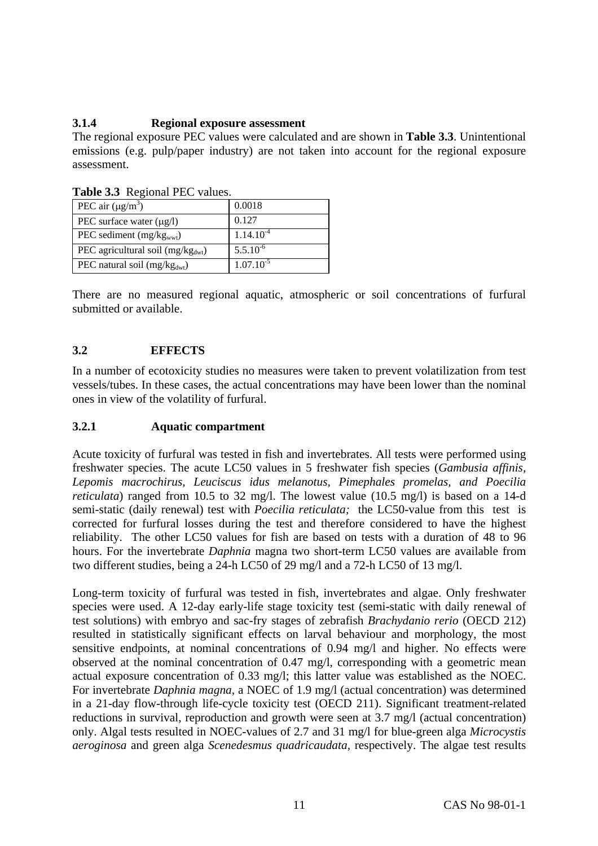### <span id="page-14-0"></span>**3.1.4 Regional exposure assessment**

The regional exposure PEC values were calculated and are shown in **Table 3.3**. Unintentional emissions (e.g. pulp/paper industry) are not taken into account for the regional exposure assessment.

| <b>Table 3.3</b> Regional PEC values.   |                |  |  |  |  |  |  |  |
|-----------------------------------------|----------------|--|--|--|--|--|--|--|
| PEC air $(\mu g/m^3)$                   | 0.0018         |  |  |  |  |  |  |  |
| PEC surface water $(\mu g/l)$           | 0.127          |  |  |  |  |  |  |  |
| PEC sediment $(mg/kgwwt)$               | $1.14.10^{-4}$ |  |  |  |  |  |  |  |
| PEC agricultural soil ( $mg/kg_{dwt}$ ) | $5.5.10^{-6}$  |  |  |  |  |  |  |  |
| PEC natural soil $(mg/kgdwt)$           | $1.07.10^{-5}$ |  |  |  |  |  |  |  |

**Table 3.3** Regional PEC values.

There are no measured regional aquatic, atmospheric or soil concentrations of furfural submitted or available.

### <span id="page-14-1"></span>**3.2 EFFECTS**

In a number of ecotoxicity studies no measures were taken to prevent volatilization from test vessels/tubes. In these cases, the actual concentrations may have been lower than the nominal ones in view of the volatility of furfural.

#### <span id="page-14-2"></span>**3.2.1 Aquatic compartment**

Acute toxicity of furfural was tested in fish and invertebrates. All tests were performed using freshwater species. The acute LC50 values in 5 freshwater fish species (*Gambusia affinis, Lepomis macrochirus, Leuciscus idus melanotus, Pimephales promelas, and Poecilia reticulata*) ranged from 10.5 to 32 mg/l. The lowest value (10.5 mg/l) is based on a 14-d semi-static (daily renewal) test with *Poecilia reticulata;* the LC50-value from this test is corrected for furfural losses during the test and therefore considered to have the highest reliability. The other LC50 values for fish are based on tests with a duration of 48 to 96 hours. For the invertebrate *Daphnia* magna two short-term LC50 values are available from two different studies, being a 24-h LC50 of 29 mg/l and a 72-h LC50 of 13 mg/l.

Long-term toxicity of furfural was tested in fish, invertebrates and algae. Only freshwater species were used. A 12-day early-life stage toxicity test (semi-static with daily renewal of test solutions) with embryo and sac-fry stages of zebrafish *Brachydanio rerio* (OECD 212) resulted in statistically significant effects on larval behaviour and morphology, the most sensitive endpoints, at nominal concentrations of 0.94 mg/l and higher. No effects were observed at the nominal concentration of 0.47 mg/l, corresponding with a geometric mean actual exposure concentration of 0.33 mg/l; this latter value was established as the NOEC. For invertebrate *Daphnia magna*, a NOEC of 1.9 mg/l (actual concentration) was determined in a 21-day flow-through life-cycle toxicity test (OECD 211). Significant treatment-related reductions in survival, reproduction and growth were seen at 3.7 mg/l (actual concentration) only. Algal tests resulted in NOEC-values of 2.7 and 31 mg/l for blue-green alga *Microcystis aeroginosa* and green alga *Scenedesmus quadricaudata,* respectively. The algae test results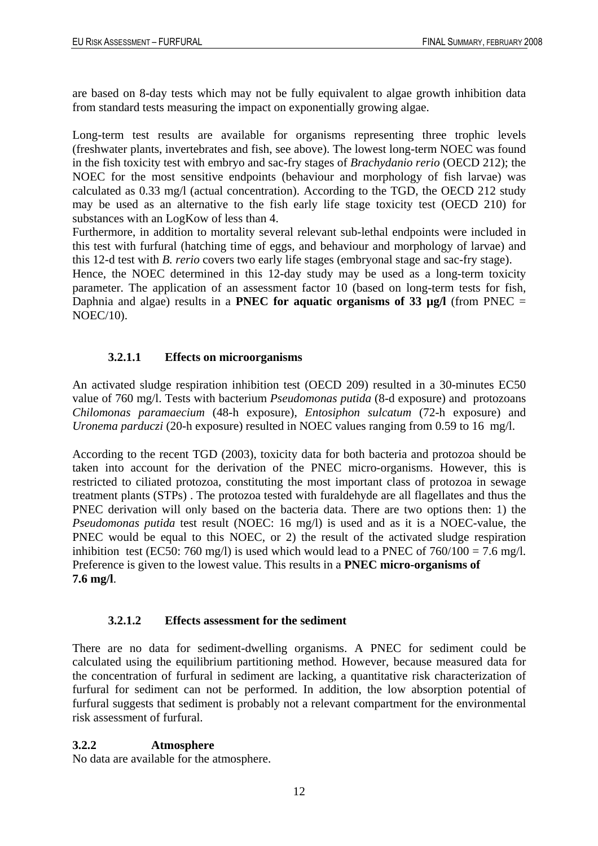are based on 8-day tests which may not be fully equivalent to algae growth inhibition data from standard tests measuring the impact on exponentially growing algae.

Long-term test results are available for organisms representing three trophic levels (freshwater plants, invertebrates and fish, see above). The lowest long-term NOEC was found in the fish toxicity test with embryo and sac-fry stages of *Brachydanio rerio* (OECD 212); the NOEC for the most sensitive endpoints (behaviour and morphology of fish larvae) was calculated as 0.33 mg/l (actual concentration). According to the TGD, the OECD 212 study may be used as an alternative to the fish early life stage toxicity test (OECD 210) for substances with an LogKow of less than 4.

Furthermore, in addition to mortality several relevant sub-lethal endpoints were included in this test with furfural (hatching time of eggs, and behaviour and morphology of larvae) and this 12-d test with *B. rerio* covers two early life stages (embryonal stage and sac-fry stage).

Hence, the NOEC determined in this 12-day study may be used as a long-term toxicity parameter. The application of an assessment factor 10 (based on long-term tests for fish, Daphnia and algae) results in a **PNEC for aquatic organisms of 33 µg/l** (from PNEC = NOEC/10).

### **3.2.1.1 Effects on microorganisms**

<span id="page-15-0"></span>An activated sludge respiration inhibition test (OECD 209) resulted in a 30-minutes EC50 value of 760 mg/l. Tests with bacterium *Pseudomonas putida* (8-d exposure) and protozoans *Chilomonas paramaecium* (48-h exposure), *Entosiphon sulcatum* (72-h exposure) and *Uronema parduczi* (20-h exposure) resulted in NOEC values ranging from 0.59 to 16 mg/l.

According to the recent TGD (2003), toxicity data for both bacteria and protozoa should be taken into account for the derivation of the PNEC micro-organisms. However, this is restricted to ciliated protozoa, constituting the most important class of protozoa in sewage treatment plants (STPs) . The protozoa tested with furaldehyde are all flagellates and thus the PNEC derivation will only based on the bacteria data. There are two options then: 1) the *Pseudomonas putida* test result (NOEC: 16 mg/l) is used and as it is a NOEC-value, the PNEC would be equal to this NOEC, or 2) the result of the activated sludge respiration inhibition test (EC50: 760 mg/l) is used which would lead to a PNEC of  $760/100 = 7.6$  mg/l. Preference is given to the lowest value. This results in a **PNEC micro-organisms of 7.6 mg/l**.

#### **3.2.1.2 Effects assessment for the sediment**

<span id="page-15-1"></span>There are no data for sediment-dwelling organisms. A PNEC for sediment could be calculated using the equilibrium partitioning method. However, because measured data for the concentration of furfural in sediment are lacking, a quantitative risk characterization of furfural for sediment can not be performed. In addition, the low absorption potential of furfural suggests that sediment is probably not a relevant compartment for the environmental risk assessment of furfural.

### <span id="page-15-2"></span>**3.2.2 Atmosphere**

No data are available for the atmosphere.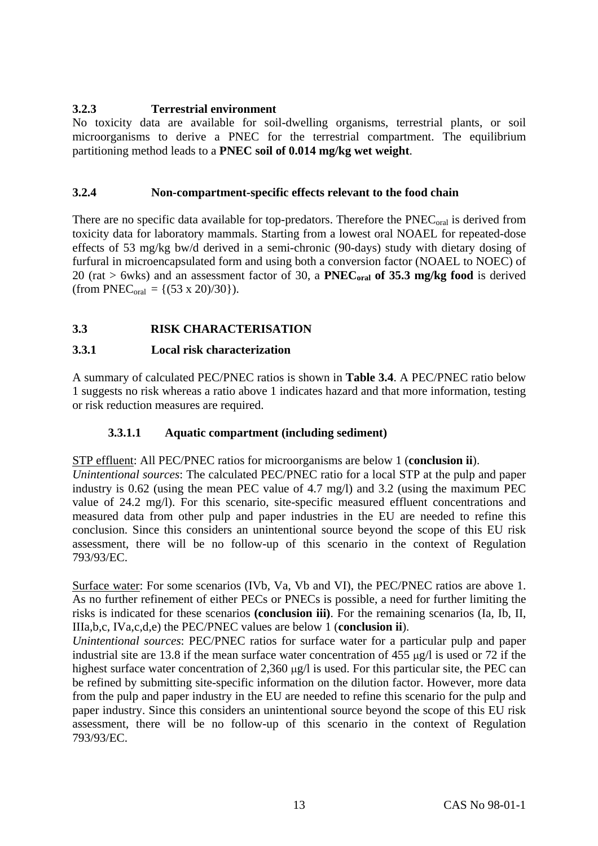### <span id="page-16-0"></span>**3.2.3 Terrestrial environment**

No toxicity data are available for soil-dwelling organisms, terrestrial plants, or soil microorganisms to derive a PNEC for the terrestrial compartment. The equilibrium partitioning method leads to a **PNEC soil of 0.014 mg/kg wet weight**.

### <span id="page-16-1"></span>**3.2.4 Non-compartment-specific effects relevant to the food chain**

There are no specific data available for top-predators. Therefore the  $\text{PNEC}_{\text{oral}}$  is derived from toxicity data for laboratory mammals. Starting from a lowest oral NOAEL for repeated-dose effects of 53 mg/kg bw/d derived in a semi-chronic (90-days) study with dietary dosing of furfural in microencapsulated form and using both a conversion factor (NOAEL to NOEC) of 20 (rat  $>$  6wks) and an assessment factor of 30, a **PNEC**<sub>oral</sub> of 35.3 mg/kg food is derived (from PNEC<sub>oral</sub> = { $(53 \times 20)/30$ }).

### <span id="page-16-2"></span>**3.3 RISK CHARACTERISATION**

### **3.3.1 Local risk characterization**

A summary of calculated PEC/PNEC ratios is shown in **Table 3.4**. A PEC/PNEC ratio below 1 suggests no risk whereas a ratio above 1 indicates hazard and that more information, testing or risk reduction measures are required.

### **3.3.1.1 Aquatic compartment (including sediment)**

<span id="page-16-3"></span>STP effluent: All PEC/PNEC ratios for microorganisms are below 1 (**conclusion ii**).

*Unintentional sources*: The calculated PEC/PNEC ratio for a local STP at the pulp and paper industry is 0.62 (using the mean PEC value of 4.7 mg/l) and 3.2 (using the maximum PEC value of 24.2 mg/l). For this scenario, site-specific measured effluent concentrations and measured data from other pulp and paper industries in the EU are needed to refine this conclusion. Since this considers an unintentional source beyond the scope of this EU risk assessment, there will be no follow-up of this scenario in the context of Regulation 793/93/EC.

Surface water: For some scenarios (IVb, Va, Vb and VI), the PEC/PNEC ratios are above 1. As no further refinement of either PECs or PNECs is possible, a need for further limiting the risks is indicated for these scenarios **(conclusion iii)**. For the remaining scenarios (Ia, Ib, II, IIIa,b,c, IVa,c,d,e) the PEC/PNEC values are below 1 (**conclusion ii**).

*Unintentional sources*: PEC/PNEC ratios for surface water for a particular pulp and paper industrial site are 13.8 if the mean surface water concentration of 455 µg/l is used or 72 if the highest surface water concentration of 2,360  $\mu$ g/l is used. For this particular site, the PEC can be refined by submitting site-specific information on the dilution factor. However, more data from the pulp and paper industry in the EU are needed to refine this scenario for the pulp and paper industry. Since this considers an unintentional source beyond the scope of this EU risk assessment, there will be no follow-up of this scenario in the context of Regulation 793/93/EC.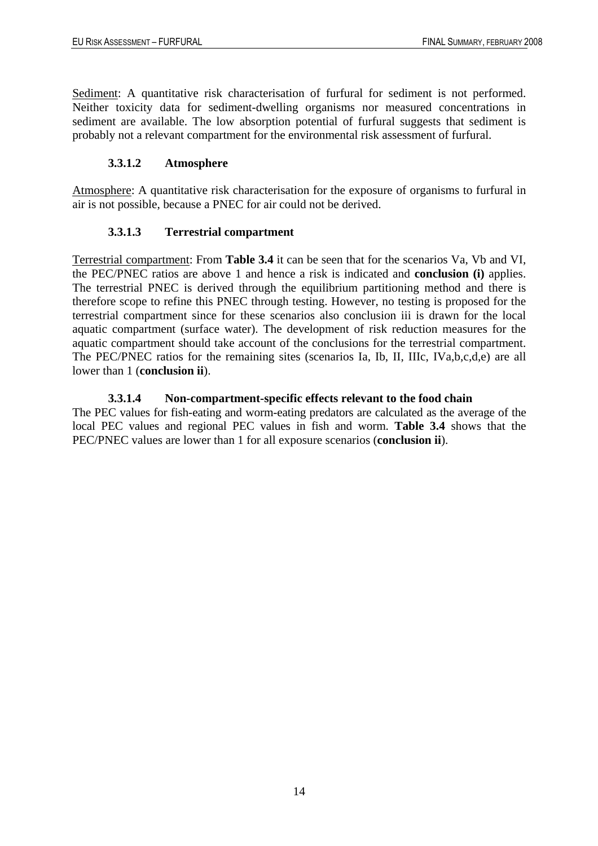Sediment: A quantitative risk characterisation of furfural for sediment is not performed. Neither toxicity data for sediment-dwelling organisms nor measured concentrations in sediment are available. The low absorption potential of furfural suggests that sediment is probably not a relevant compartment for the environmental risk assessment of furfural.

### **3.3.1.2 Atmosphere**

<span id="page-17-1"></span><span id="page-17-0"></span>Atmosphere: A quantitative risk characterisation for the exposure of organisms to furfural in air is not possible, because a PNEC for air could not be derived.

### **3.3.1.3 Terrestrial compartment**

Terrestrial compartment: From **Table 3.4** it can be seen that for the scenarios Va, Vb and VI, the PEC/PNEC ratios are above 1 and hence a risk is indicated and **conclusion (i)** applies. The terrestrial PNEC is derived through the equilibrium partitioning method and there is therefore scope to refine this PNEC through testing. However, no testing is proposed for the terrestrial compartment since for these scenarios also conclusion iii is drawn for the local aquatic compartment (surface water). The development of risk reduction measures for the aquatic compartment should take account of the conclusions for the terrestrial compartment. The PEC/PNEC ratios for the remaining sites (scenarios Ia, Ib, II, IIIc, IVa,b,c,d,e) are all lower than 1 (**conclusion ii**).

#### **3.3.1.4 Non-compartment-specific effects relevant to the food chain**

<span id="page-17-2"></span>The PEC values for fish-eating and worm-eating predators are calculated as the average of the local PEC values and regional PEC values in fish and worm. **Table 3.4** shows that the PEC/PNEC values are lower than 1 for all exposure scenarios (**conclusion ii**).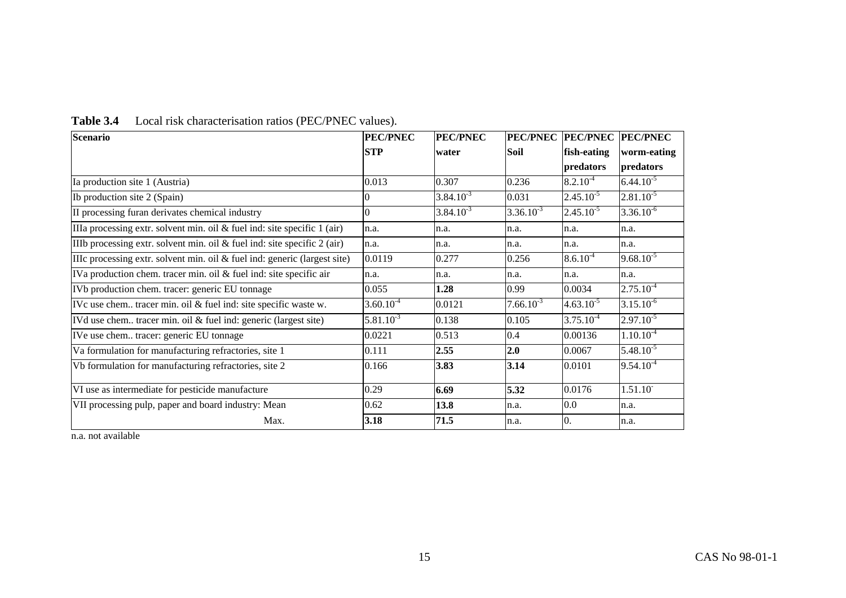| Scenario                                                                     | <b>PEC/PNEC</b> | <b>PEC/PNEC</b> |                | PEC/PNEC PEC/PNEC PEC/PNEC |                |  |
|------------------------------------------------------------------------------|-----------------|-----------------|----------------|----------------------------|----------------|--|
|                                                                              | <b>STP</b>      | water           | Soil           | fish-eating                | worm-eating    |  |
|                                                                              |                 |                 |                | predators                  | predators      |  |
| Ia production site 1 (Austria)                                               | 0.013           | 0.307           | 0.236          | $8.2.10^{-4}$              | $6.44.10^{-5}$ |  |
| Ib production site 2 (Spain)                                                 | $\overline{0}$  | $3.84.10^{-3}$  | 0.031          | $2.45.10^{-5}$             | $2.81.10^{-5}$ |  |
| II processing furan derivates chemical industry                              | $\Omega$        | $3.84.10^{-3}$  | $3.36.10^{-3}$ | $2.45.10^{-5}$             | $3.36.10^{-6}$ |  |
| IIIa processing extr. solvent min. oil $&$ fuel ind: site specific 1 (air)   | n.a.            | n.a.            | n.a.           | n.a.                       | n.a.           |  |
| IIIb processing extr. solvent min. oil $&$ fuel ind: site specific $2$ (air) | n.a.            | n.a.            | n.a.           | n.a.                       | n.a.           |  |
| IIIc processing extr. solvent min. oil $&$ fuel ind: generic (largest site)  | 0.0119          | 0.277           | 0.256          | $8.6.10^{-4}$              | $9.68.10^{-5}$ |  |
| IVa production chem. tracer min. oil & fuel ind: site specific air           | n.a.            | n.a.            | n.a.           | n.a.                       | n.a.           |  |
| IVb production chem. tracer: generic EU tonnage                              | 0.055           | 1.28            | 0.99           | 0.0034                     | $2.75.10^{-4}$ |  |
| IVc use chem tracer min. oil & fuel ind: site specific waste w.              | $3.60.10^{-4}$  | 0.0121          | $7.66.10^{-3}$ | $4.63.10^{-5}$             | $3.15.10^{-6}$ |  |
| IVd use chem tracer min. oil & fuel ind: generic (largest site)              | $5.81.10^{-3}$  | 0.138           | 0.105          | $3.75.10^{-4}$             | $2.97.10^{-5}$ |  |
| IVe use chem tracer: generic EU tonnage                                      | 0.0221          | 0.513           | 0.4            | 0.00136                    | $1.10.10^{-4}$ |  |
| Va formulation for manufacturing refractories, site 1                        | 0.111           | 2.55            | 2.0            | 0.0067                     | $5.48.10^{-5}$ |  |
| Vb formulation for manufacturing refractories, site 2                        | 0.166           | 3.83            | 3.14           | 0.0101                     | $9.54.10^{-4}$ |  |
| VI use as intermediate for pesticide manufacture                             | 0.29            | 6.69            | 5.32           | 0.0176                     | 1.51.10        |  |
| VII processing pulp, paper and board industry: Mean                          | 0.62            | 13.8            | n.a.           | 0.0                        | n.a.           |  |
| Max.                                                                         | 3.18            | 71.5            | n.a.           | $\overline{0}$ .           | n.a.           |  |

## **Table 3.4** Local risk characterisation ratios (PEC/PNEC values).

n.a. not available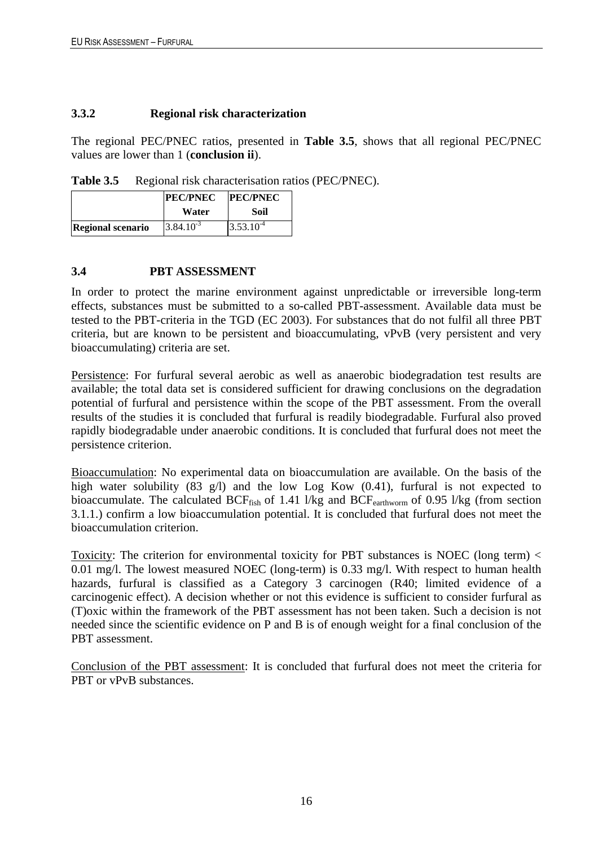#### **3.3.2 Regional risk characterization**

The regional PEC/PNEC ratios, presented in **Table 3.5**, shows that all regional PEC/PNEC values are lower than 1 (**conclusion ii**).

Table 3.5 Regional risk characterisation ratios (PEC/PNEC).

|                          | <b>PEC/PNEC</b> | <b>PEC/PNEC</b> |
|--------------------------|-----------------|-----------------|
|                          | Water           | Soil            |
| <b>Regional scenario</b> | $3.84.10^{-3}$  | $3.53.10^{-4}$  |

#### <span id="page-19-0"></span>**3.4 PBT ASSESSMENT**

In order to protect the marine environment against unpredictable or irreversible long-term effects, substances must be submitted to a so-called PBT-assessment. Available data must be tested to the PBT-criteria in the TGD (EC 2003). For substances that do not fulfil all three PBT criteria, but are known to be persistent and bioaccumulating, vPvB (very persistent and very bioaccumulating) criteria are set.

Persistence: For furfural several aerobic as well as anaerobic biodegradation test results are available; the total data set is considered sufficient for drawing conclusions on the degradation potential of furfural and persistence within the scope of the PBT assessment. From the overall results of the studies it is concluded that furfural is readily biodegradable. Furfural also proved rapidly biodegradable under anaerobic conditions. It is concluded that furfural does not meet the persistence criterion.

Bioaccumulation: No experimental data on bioaccumulation are available. On the basis of the high water solubility (83 g/l) and the low Log Kow (0.41), furfural is not expected to bioaccumulate. The calculated BCF<sub>fish</sub> of 1.41 l/kg and BCF<sub>earthworm</sub> of 0.95 l/kg (from section 3.1.1.) confirm a low bioaccumulation potential. It is concluded that furfural does not meet the bioaccumulation criterion.

Toxicity: The criterion for environmental toxicity for PBT substances is NOEC (long term) < 0.01 mg/l. The lowest measured NOEC (long-term) is 0.33 mg/l. With respect to human health hazards, furfural is classified as a Category 3 carcinogen (R40; limited evidence of a carcinogenic effect). A decision whether or not this evidence is sufficient to consider furfural as (T)oxic within the framework of the PBT assessment has not been taken. Such a decision is not needed since the scientific evidence on P and B is of enough weight for a final conclusion of the PBT assessment.

Conclusion of the PBT assessment: It is concluded that furfural does not meet the criteria for PBT or vPvB substances.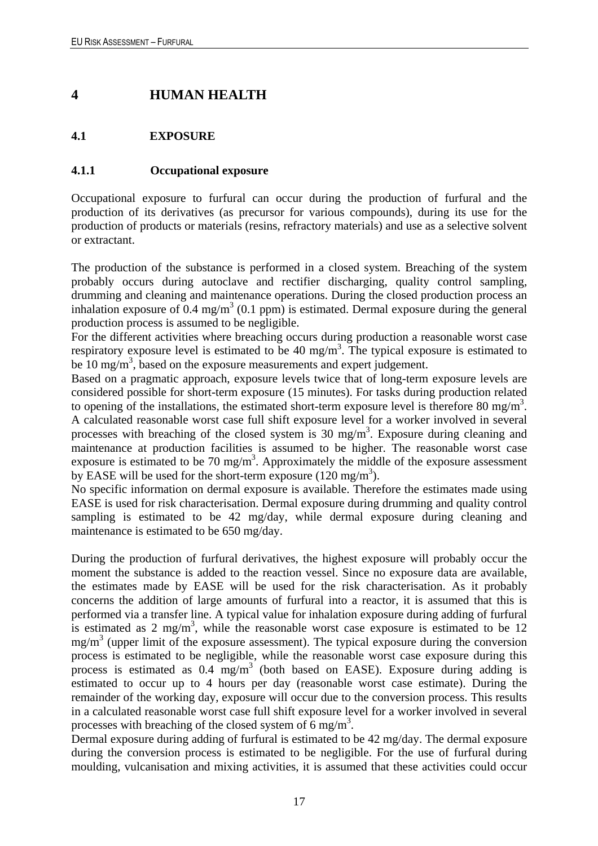## <span id="page-20-0"></span>**4 HUMAN HEALTH**

### <span id="page-20-1"></span>**4.1 EXPOSURE**

#### <span id="page-20-2"></span>**4.1.1 Occupational exposure**

Occupational exposure to furfural can occur during the production of furfural and the production of its derivatives (as precursor for various compounds), during its use for the production of products or materials (resins, refractory materials) and use as a selective solvent or extractant.

The production of the substance is performed in a closed system. Breaching of the system probably occurs during autoclave and rectifier discharging, quality control sampling, drumming and cleaning and maintenance operations. During the closed production process an inhalation exposure of  $0.4 \text{ mg/m}^3$  (0.1 ppm) is estimated. Dermal exposure during the general production process is assumed to be negligible.

For the different activities where breaching occurs during production a reasonable worst case respiratory exposure level is estimated to be 40 mg/m<sup>3</sup>. The typical exposure is estimated to be  $10 \text{ mg/m}^3$ , based on the exposure measurements and expert judgement.

Based on a pragmatic approach, exposure levels twice that of long-term exposure levels are considered possible for short-term exposure (15 minutes). For tasks during production related to opening of the installations, the estimated short-term exposure level is therefore 80 mg/m<sup>3</sup>. A calculated reasonable worst case full shift exposure level for a worker involved in several processes with breaching of the closed system is 30 mg/m<sup>3</sup>. Exposure during cleaning and maintenance at production facilities is assumed to be higher. The reasonable worst case exposure is estimated to be 70 mg/m<sup>3</sup>. Approximately the middle of the exposure assessment by EASE will be used for the short-term exposure  $(120 \text{ mg/m}^3)$ .

No specific information on dermal exposure is available. Therefore the estimates made using EASE is used for risk characterisation. Dermal exposure during drumming and quality control sampling is estimated to be 42 mg/day, while dermal exposure during cleaning and maintenance is estimated to be 650 mg/day.

During the production of furfural derivatives, the highest exposure will probably occur the moment the substance is added to the reaction vessel. Since no exposure data are available, the estimates made by EASE will be used for the risk characterisation. As it probably concerns the addition of large amounts of furfural into a reactor, it is assumed that this is performed via a transfer line. A typical value for inhalation exposure during adding of furfural is estimated as 2 mg/m<sup>3</sup>, while the reasonable worst case exposure is estimated to be 12  $mg/m<sup>3</sup>$  (upper limit of the exposure assessment). The typical exposure during the conversion process is estimated to be negligible, while the reasonable worst case exposure during this process is estimated as  $0.4 \text{ mg/m}^3$  (both based on EASE). Exposure during adding is estimated to occur up to 4 hours per day (reasonable worst case estimate). During the remainder of the working day, exposure will occur due to the conversion process. This results in a calculated reasonable worst case full shift exposure level for a worker involved in several processes with breaching of the closed system of  $6 \text{ mg/m}^3$ .

Dermal exposure during adding of furfural is estimated to be 42 mg/day. The dermal exposure during the conversion process is estimated to be negligible. For the use of furfural during moulding, vulcanisation and mixing activities, it is assumed that these activities could occur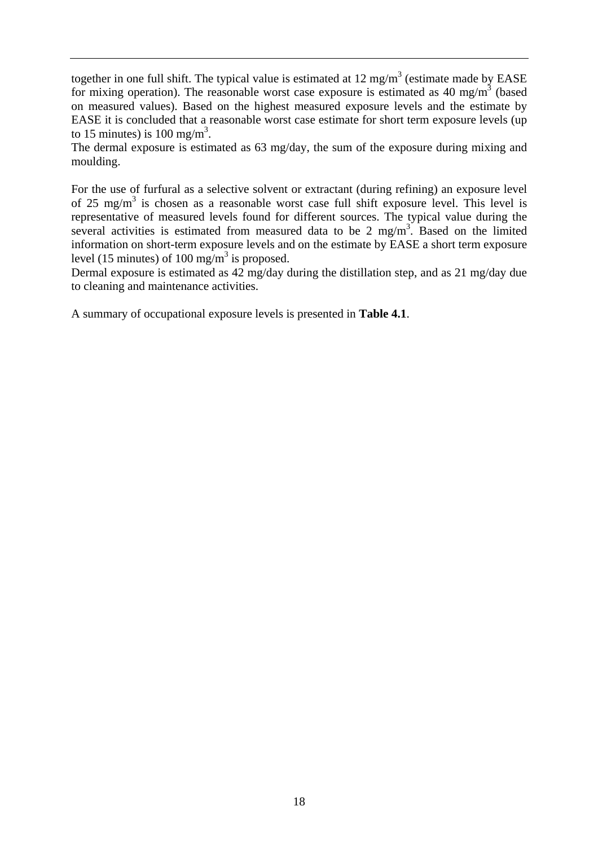together in one full shift. The typical value is estimated at  $12 \text{ mg/m}^3$  (estimate made by EASE for mixing operation). The reasonable worst case exposure is estimated as 40 mg/m<sup>3</sup> (based on measured values). Based on the highest measured exposure levels and the estimate by EASE it is concluded that a reasonable worst case estimate for short term exposure levels (up to 15 minutes) is 100 mg/m<sup>3</sup>.

The dermal exposure is estimated as 63 mg/day, the sum of the exposure during mixing and moulding.

For the use of furfural as a selective solvent or extractant (during refining) an exposure level of 25 mg/m<sup>3</sup> is chosen as a reasonable worst case full shift exposure level. This level is representative of measured levels found for different sources. The typical value during the several activities is estimated from measured data to be 2 mg/m<sup>3</sup>. Based on the limited information on short-term exposure levels and on the estimate by EASE a short term exposure level (15 minutes) of 100 mg/m<sup>3</sup> is proposed.

Dermal exposure is estimated as 42 mg/day during the distillation step, and as 21 mg/day due to cleaning and maintenance activities.

A summary of occupational exposure levels is presented in **Table 4.1**.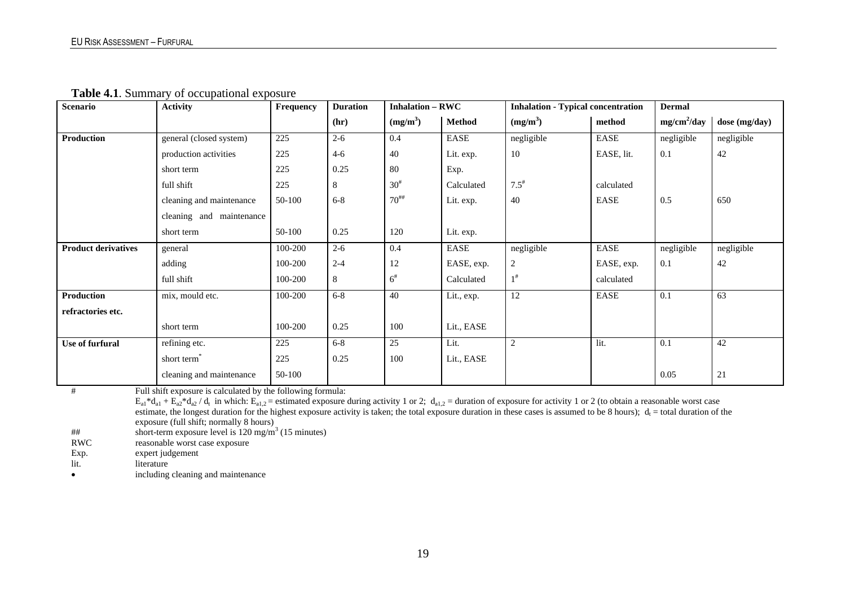**Table 4.1**. Summary of occupational exposure

| <b>Scenario</b>            | <b>Activity</b>          | Frequency | <b>Duration</b> | <b>Inhalation – RWC</b>        |               | <b>Inhalation - Typical concentration</b> |            | <b>Dermal</b> |               |
|----------------------------|--------------------------|-----------|-----------------|--------------------------------|---------------|-------------------------------------------|------------|---------------|---------------|
|                            |                          |           | (hr)            | (mg/m <sup>3</sup> )           | <b>Method</b> | (mg/m <sup>3</sup> )                      | method     | $mg/cm^2/day$ | dose (mg/day) |
| <b>Production</b>          | general (closed system)  | 225       | $2 - 6$         | 0.4                            | EASE          | negligible                                | EASE       | negligible    | negligible    |
|                            | production activities    | 225       | $4 - 6$         | 40                             | Lit. exp.     | 10                                        | EASE, lit. | 0.1           | 42            |
|                            | short term               | 225       | 0.25            | 80                             | Exp.          |                                           |            |               |               |
|                            | full shift               | 225       | 8               | $30^{#}$                       | Calculated    | $7.5^{\text{*}}$                          | calculated |               |               |
|                            | cleaning and maintenance | 50-100    | $6 - 8$         | $70^{***}$                     | Lit. exp.     | 40                                        | EASE       | 0.5           | 650           |
|                            | cleaning and maintenance |           |                 |                                |               |                                           |            |               |               |
|                            | short term               | 50-100    | 0.25            | 120                            | Lit. exp.     |                                           |            |               |               |
| <b>Product derivatives</b> | general                  | 100-200   | $2 - 6$         | 0.4                            | EASE          | negligible                                | EASE       | negligible    | negligible    |
|                            | adding                   | 100-200   | $2 - 4$         | 12                             | EASE, exp.    | $\boldsymbol{2}$                          | EASE, exp. | 0.1           | 42            |
|                            | full shift               | 100-200   | 8               | $6^{\rm \scriptscriptstyle H}$ | Calculated    | $1^{\#}$                                  | calculated |               |               |
| <b>Production</b>          | mix, mould etc.          | 100-200   | $6 - 8$         | 40                             | Lit., exp.    | 12                                        | EASE       | 0.1           | 63            |
| refractories etc.          |                          |           |                 |                                |               |                                           |            |               |               |
|                            | short term               | 100-200   | 0.25            | 100                            | Lit., EASE    |                                           |            |               |               |
| Use of furfural            | refining etc.            | 225       | $6 - 8$         | 25                             | Lit.          | 2                                         | lit.       | 0.1           | 42            |
|                            | short term               | 225       | 0.25            | 100                            | Lit., EASE    |                                           |            |               |               |
|                            | cleaning and maintenance | 50-100    |                 |                                |               |                                           |            | 0.05          | 21            |

# Full shift exposure is calculated by the following formula:

 $E_{a1}$ <sup>\*</sup>d<sub>a1</sub> +  $E_{a2}$ <sup>\*</sup>d<sub>a2</sub> / d<sub>t</sub> in which:  $E_{a1,2}$  = estimated exposure during activity 1 or 2; d<sub>a1,2</sub> = duration of exposure for activity 1 or 2 (to obtain a reasonable worst case estimate, the longest duration for the highest exposure activity is taken; the total exposure duration in these cases is assumed to be 8 hours);  $d_i$  = total duration of the exposure (full shift; normally 8 hours)<br>short-term exposure level is  $120 \text{ mg/m}^3$ 

## short-term exposure level is  $120 \text{ mg/m}^3$  (15 minutes)<br>RWC reasonable worst case exposure

reasonable worst case exposure

Exp. expert judgement

lit. literature

•including cleaning and maintenance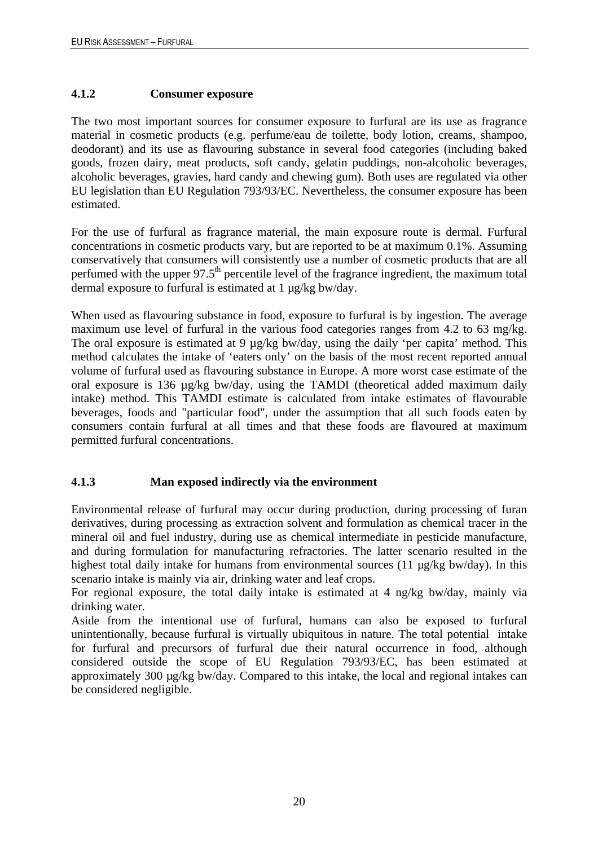### <span id="page-23-0"></span>**4.1.2 Consumer exposure**

The two most important sources for consumer exposure to furfural are its use as fragrance material in cosmetic products (e.g. perfume/eau de toilette, body lotion, creams, shampoo, deodorant) and its use as flavouring substance in several food categories (including baked goods, frozen dairy, meat products, soft candy, gelatin puddings, non-alcoholic beverages, alcoholic beverages, gravies, hard candy and chewing gum). Both uses are regulated via other EU legislation than EU Regulation 793/93/EC. Nevertheless, the consumer exposure has been estimated.

For the use of furfural as fragrance material, the main exposure route is dermal. Furfural concentrations in cosmetic products vary, but are reported to be at maximum 0.1%. Assuming conservatively that consumers will consistently use a number of cosmetic products that are all perfumed with the upper 97.5<sup>th</sup> percentile level of the fragrance ingredient, the maximum total dermal exposure to furfural is estimated at 1 µg/kg bw/day.

When used as flavouring substance in food, exposure to furfural is by ingestion. The average maximum use level of furfural in the various food categories ranges from 4.2 to 63 mg/kg. The oral exposure is estimated at 9  $\mu$ g/kg bw/day, using the daily 'per capita' method. This method calculates the intake of 'eaters only' on the basis of the most recent reported annual volume of furfural used as flavouring substance in Europe. A more worst case estimate of the oral exposure is 136 µg/kg bw/day, using the TAMDI (theoretical added maximum daily intake) method. This TAMDI estimate is calculated from intake estimates of flavourable beverages, foods and "particular food", under the assumption that all such foods eaten by consumers contain furfural at all times and that these foods are flavoured at maximum permitted furfural concentrations.

### <span id="page-23-1"></span>**4.1.3 Man exposed indirectly via the environment**

Environmental release of furfural may occur during production, during processing of furan derivatives, during processing as extraction solvent and formulation as chemical tracer in the mineral oil and fuel industry, during use as chemical intermediate in pesticide manufacture, and during formulation for manufacturing refractories. The latter scenario resulted in the highest total daily intake for humans from environmental sources (11 µg/kg bw/day). In this scenario intake is mainly via air, drinking water and leaf crops.

For regional exposure, the total daily intake is estimated at 4 ng/kg bw/day, mainly via drinking water.

Aside from the intentional use of furfural, humans can also be exposed to furfural unintentionally, because furfural is virtually ubiquitous in nature. The total potential intake for furfural and precursors of furfural due their natural occurrence in food, although considered outside the scope of EU Regulation 793/93/EC, has been estimated at approximately 300 µg/kg bw/day. Compared to this intake, the local and regional intakes can be considered negligible.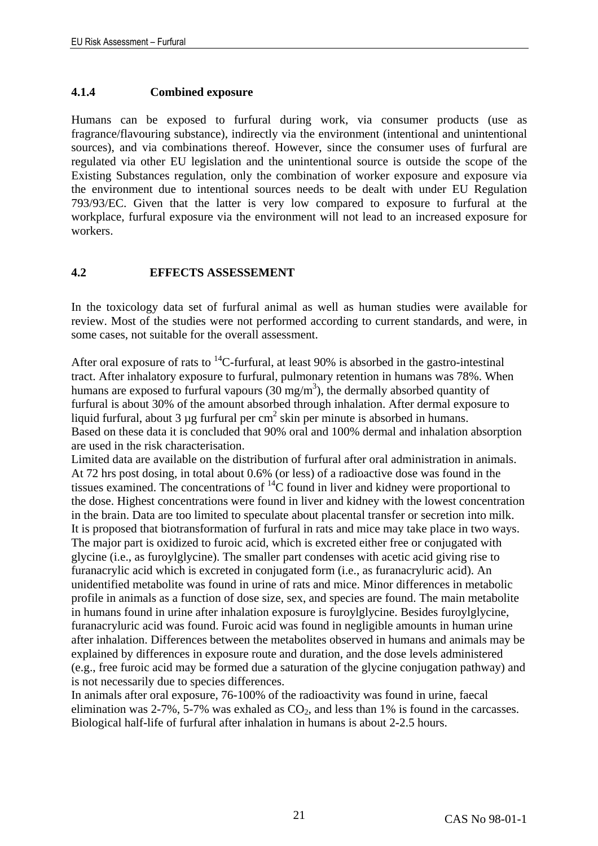#### <span id="page-24-0"></span>**4.1.4 Combined exposure**

Humans can be exposed to furfural during work, via consumer products (use as fragrance/flavouring substance), indirectly via the environment (intentional and unintentional sources), and via combinations thereof. However, since the consumer uses of furfural are regulated via other EU legislation and the unintentional source is outside the scope of the Existing Substances regulation, only the combination of worker exposure and exposure via the environment due to intentional sources needs to be dealt with under EU Regulation 793/93/EC. Given that the latter is very low compared to exposure to furfural at the workplace, furfural exposure via the environment will not lead to an increased exposure for workers.

### <span id="page-24-1"></span>**4.2 EFFECTS ASSESSEMENT**

In the toxicology data set of furfural animal as well as human studies were available for review. Most of the studies were not performed according to current standards, and were, in some cases, not suitable for the overall assessment.

After oral exposure of rats to  $^{14}$ C-furfural, at least 90% is absorbed in the gastro-intestinal tract. After inhalatory exposure to furfural, pulmonary retention in humans was 78%. When humans are exposed to furfural vapours  $(30 \text{ mg/m}^3)$ , the dermally absorbed quantity of furfural is about 30% of the amount absorbed through inhalation. After dermal exposure to liquid furfural, about 3  $\mu$ g furfural per cm<sup>2</sup> skin per minute is absorbed in humans. Based on these data it is concluded that 90% oral and 100% dermal and inhalation absorption are used in the risk characterisation.

Limited data are available on the distribution of furfural after oral administration in animals. At 72 hrs post dosing, in total about 0.6% (or less) of a radioactive dose was found in the tissues examined. The concentrations of  ${}^{14}C$  found in liver and kidney were proportional to the dose. Highest concentrations were found in liver and kidney with the lowest concentration in the brain. Data are too limited to speculate about placental transfer or secretion into milk. It is proposed that biotransformation of furfural in rats and mice may take place in two ways. The major part is oxidized to furoic acid, which is excreted either free or conjugated with glycine (i.e., as furoylglycine). The smaller part condenses with acetic acid giving rise to furanacrylic acid which is excreted in conjugated form (i.e., as furanacryluric acid). An unidentified metabolite was found in urine of rats and mice. Minor differences in metabolic profile in animals as a function of dose size, sex, and species are found. The main metabolite in humans found in urine after inhalation exposure is furoylglycine. Besides furoylglycine, furanacryluric acid was found. Furoic acid was found in negligible amounts in human urine after inhalation. Differences between the metabolites observed in humans and animals may be explained by differences in exposure route and duration, and the dose levels administered (e.g., free furoic acid may be formed due a saturation of the glycine conjugation pathway) and is not necessarily due to species differences.

In animals after oral exposure, 76-100% of the radioactivity was found in urine, faecal elimination was 2-7%, 5-7% was exhaled as  $CO<sub>2</sub>$ , and less than 1% is found in the carcasses. Biological half-life of furfural after inhalation in humans is about 2-2.5 hours.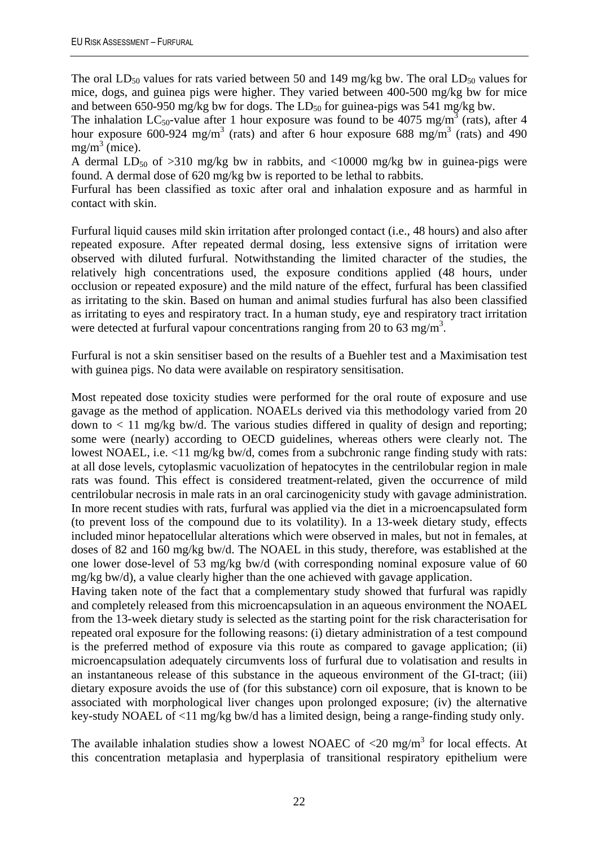The oral  $LD_{50}$  values for rats varied between 50 and 149 mg/kg bw. The oral  $LD_{50}$  values for mice, dogs, and guinea pigs were higher. They varied between 400-500 mg/kg bw for mice and between 650-950 mg/kg bw for dogs. The  $LD_{50}$  for guinea-pigs was 541 mg/kg bw.

The inhalation LC<sub>50</sub>-value after 1 hour exposure was found to be 4075 mg/m<sup>3</sup> (rats), after 4 hour exposure 600-924 mg/m<sup>3</sup> (rats) and after 6 hour exposure 688 mg/m<sup>3</sup> (rats) and 490  $mg/m^3$  (mice).

A dermal  $LD_{50}$  of  $>310$  mg/kg bw in rabbits, and  $<10000$  mg/kg bw in guinea-pigs were found. A dermal dose of 620 mg/kg bw is reported to be lethal to rabbits.

Furfural has been classified as toxic after oral and inhalation exposure and as harmful in contact with skin.

Furfural liquid causes mild skin irritation after prolonged contact (i.e., 48 hours) and also after repeated exposure. After repeated dermal dosing, less extensive signs of irritation were observed with diluted furfural. Notwithstanding the limited character of the studies, the relatively high concentrations used, the exposure conditions applied (48 hours, under occlusion or repeated exposure) and the mild nature of the effect, furfural has been classified as irritating to the skin. Based on human and animal studies furfural has also been classified as irritating to eyes and respiratory tract. In a human study, eye and respiratory tract irritation were detected at furfural vapour concentrations ranging from 20 to 63 mg/m<sup>3</sup>.

Furfural is not a skin sensitiser based on the results of a Buehler test and a Maximisation test with guinea pigs. No data were available on respiratory sensitisation.

Most repeated dose toxicity studies were performed for the oral route of exposure and use gavage as the method of application. NOAELs derived via this methodology varied from 20 down to  $\langle 11 \text{ mg/kg}$  bw/d. The various studies differed in quality of design and reporting; some were (nearly) according to OECD guidelines, whereas others were clearly not. The lowest NOAEL, i.e. <11 mg/kg bw/d, comes from a subchronic range finding study with rats: at all dose levels, cytoplasmic vacuolization of hepatocytes in the centrilobular region in male rats was found. This effect is considered treatment-related, given the occurrence of mild centrilobular necrosis in male rats in an oral carcinogenicity study with gavage administration. In more recent studies with rats, furfural was applied via the diet in a microencapsulated form (to prevent loss of the compound due to its volatility). In a 13-week dietary study, effects included minor hepatocellular alterations which were observed in males, but not in females, at doses of 82 and 160 mg/kg bw/d. The NOAEL in this study, therefore, was established at the one lower dose-level of 53 mg/kg bw/d (with corresponding nominal exposure value of 60 mg/kg bw/d), a value clearly higher than the one achieved with gavage application.

Having taken note of the fact that a complementary study showed that furfural was rapidly and completely released from this microencapsulation in an aqueous environment the NOAEL from the 13-week dietary study is selected as the starting point for the risk characterisation for repeated oral exposure for the following reasons: (i) dietary administration of a test compound is the preferred method of exposure via this route as compared to gavage application; (ii) microencapsulation adequately circumvents loss of furfural due to volatisation and results in an instantaneous release of this substance in the aqueous environment of the GI-tract; (iii) dietary exposure avoids the use of (for this substance) corn oil exposure, that is known to be associated with morphological liver changes upon prolonged exposure; (iv) the alternative key-study NOAEL of <11 mg/kg bw/d has a limited design, being a range-finding study only.

The available inhalation studies show a lowest NOAEC of  $\langle 20 \text{ mg/m}^3 \rangle$  for local effects. At this concentration metaplasia and hyperplasia of transitional respiratory epithelium were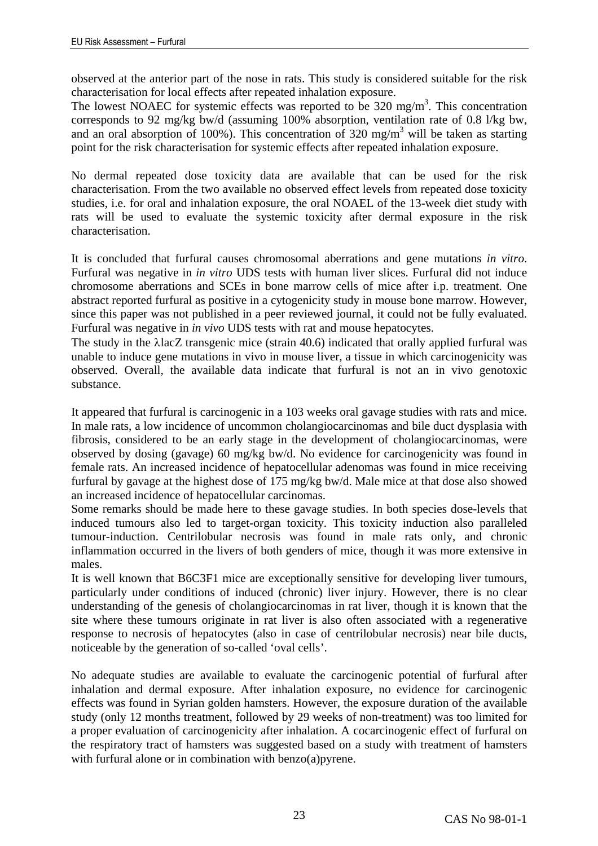observed at the anterior part of the nose in rats. This study is considered suitable for the risk characterisation for local effects after repeated inhalation exposure.

The lowest NOAEC for systemic effects was reported to be  $320 \text{ mg/m}^3$ . This concentration corresponds to 92 mg/kg bw/d (assuming 100% absorption, ventilation rate of 0.8 l/kg bw, and an oral absorption of 100%). This concentration of 320 mg/m<sup>3</sup> will be taken as starting point for the risk characterisation for systemic effects after repeated inhalation exposure.

No dermal repeated dose toxicity data are available that can be used for the risk characterisation. From the two available no observed effect levels from repeated dose toxicity studies, i.e. for oral and inhalation exposure, the oral NOAEL of the 13-week diet study with rats will be used to evaluate the systemic toxicity after dermal exposure in the risk characterisation.

It is concluded that furfural causes chromosomal aberrations and gene mutations *in vitro*. Furfural was negative in *in vitro* UDS tests with human liver slices. Furfural did not induce chromosome aberrations and SCEs in bone marrow cells of mice after i.p. treatment. One abstract reported furfural as positive in a cytogenicity study in mouse bone marrow. However, since this paper was not published in a peer reviewed journal, it could not be fully evaluated. Furfural was negative in *in vivo* UDS tests with rat and mouse hepatocytes.

The study in the λlacZ transgenic mice (strain 40.6) indicated that orally applied furfural was unable to induce gene mutations in vivo in mouse liver, a tissue in which carcinogenicity was observed. Overall, the available data indicate that furfural is not an in vivo genotoxic substance.

It appeared that furfural is carcinogenic in a 103 weeks oral gavage studies with rats and mice. In male rats, a low incidence of uncommon cholangiocarcinomas and bile duct dysplasia with fibrosis, considered to be an early stage in the development of cholangiocarcinomas, were observed by dosing (gavage) 60 mg/kg bw/d. No evidence for carcinogenicity was found in female rats. An increased incidence of hepatocellular adenomas was found in mice receiving furfural by gavage at the highest dose of 175 mg/kg bw/d. Male mice at that dose also showed an increased incidence of hepatocellular carcinomas.

Some remarks should be made here to these gavage studies. In both species dose-levels that induced tumours also led to target-organ toxicity. This toxicity induction also paralleled tumour-induction. Centrilobular necrosis was found in male rats only, and chronic inflammation occurred in the livers of both genders of mice, though it was more extensive in males.

It is well known that B6C3F1 mice are exceptionally sensitive for developing liver tumours, particularly under conditions of induced (chronic) liver injury. However, there is no clear understanding of the genesis of cholangiocarcinomas in rat liver, though it is known that the site where these tumours originate in rat liver is also often associated with a regenerative response to necrosis of hepatocytes (also in case of centrilobular necrosis) near bile ducts, noticeable by the generation of so-called 'oval cells'.

No adequate studies are available to evaluate the carcinogenic potential of furfural after inhalation and dermal exposure. After inhalation exposure, no evidence for carcinogenic effects was found in Syrian golden hamsters. However, the exposure duration of the available study (only 12 months treatment, followed by 29 weeks of non-treatment) was too limited for a proper evaluation of carcinogenicity after inhalation. A cocarcinogenic effect of furfural on the respiratory tract of hamsters was suggested based on a study with treatment of hamsters with furfural alone or in combination with benzo(a)pyrene.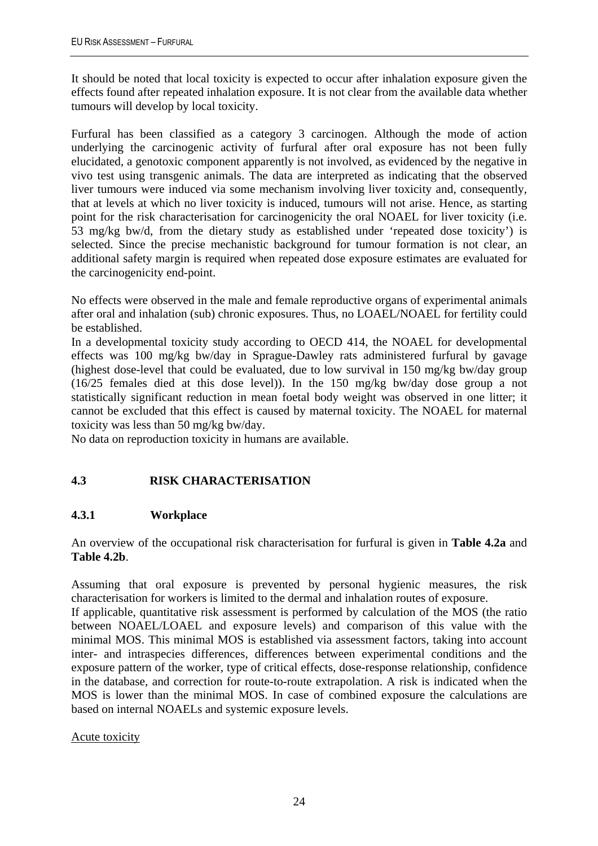It should be noted that local toxicity is expected to occur after inhalation exposure given the effects found after repeated inhalation exposure. It is not clear from the available data whether tumours will develop by local toxicity.

Furfural has been classified as a category 3 carcinogen. Although the mode of action underlying the carcinogenic activity of furfural after oral exposure has not been fully elucidated, a genotoxic component apparently is not involved, as evidenced by the negative in vivo test using transgenic animals. The data are interpreted as indicating that the observed liver tumours were induced via some mechanism involving liver toxicity and, consequently, that at levels at which no liver toxicity is induced, tumours will not arise. Hence, as starting point for the risk characterisation for carcinogenicity the oral NOAEL for liver toxicity (i.e. 53 mg/kg bw/d, from the dietary study as established under 'repeated dose toxicity') is selected. Since the precise mechanistic background for tumour formation is not clear, an additional safety margin is required when repeated dose exposure estimates are evaluated for the carcinogenicity end-point.

No effects were observed in the male and female reproductive organs of experimental animals after oral and inhalation (sub) chronic exposures. Thus, no LOAEL/NOAEL for fertility could be established.

In a developmental toxicity study according to OECD 414, the NOAEL for developmental effects was 100 mg/kg bw/day in Sprague-Dawley rats administered furfural by gavage (highest dose-level that could be evaluated, due to low survival in 150 mg/kg bw/day group (16/25 females died at this dose level)). In the 150 mg/kg bw/day dose group a not statistically significant reduction in mean foetal body weight was observed in one litter; it cannot be excluded that this effect is caused by maternal toxicity. The NOAEL for maternal toxicity was less than 50 mg/kg bw/day.

No data on reproduction toxicity in humans are available.

### <span id="page-27-0"></span>**4.3 RISK CHARACTERISATION**

### <span id="page-27-1"></span>**4.3.1 Workplace**

An overview of the occupational risk characterisation for furfural is given in **Table 4.2a** and **Table 4.2b**.

Assuming that oral exposure is prevented by personal hygienic measures, the risk characterisation for workers is limited to the dermal and inhalation routes of exposure.

If applicable, quantitative risk assessment is performed by calculation of the MOS (the ratio between NOAEL/LOAEL and exposure levels) and comparison of this value with the minimal MOS. This minimal MOS is established via assessment factors, taking into account inter- and intraspecies differences, differences between experimental conditions and the exposure pattern of the worker, type of critical effects, dose-response relationship, confidence in the database, and correction for route-to-route extrapolation. A risk is indicated when the MOS is lower than the minimal MOS. In case of combined exposure the calculations are based on internal NOAELs and systemic exposure levels.

#### Acute toxicity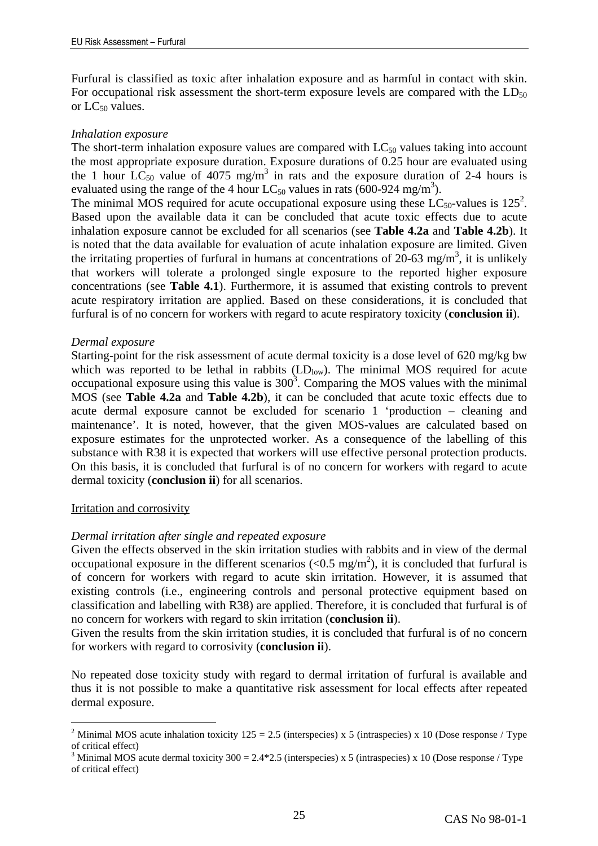Furfural is classified as toxic after inhalation exposure and as harmful in contact with skin. For occupational risk assessment the short-term exposure levels are compared with the  $LD_{50}$ or  $LC_{50}$  values.

#### *Inhalation exposure*

The short-term inhalation exposure values are compared with  $LC_{50}$  values taking into account the most appropriate exposure duration. Exposure durations of 0.25 hour are evaluated using the 1 hour  $LC_{50}$  value of 4075 mg/m<sup>3</sup> in rats and the exposure duration of 2-4 hours is evaluated using the range of the 4 hour  $LC_{50}$  values in rats (600-924 mg/m<sup>3</sup>).

The minimal MOS required for acute occupational exposure using these  $LC_{50}$ -values is 125<sup>2</sup>. Based upon the available data it can be concluded that acute toxic effects due to acute inhalation exposure cannot be excluded for all scenarios (see **Table 4.2a** and **Table 4.2b**). It is noted that the data available for evaluation of acute inhalation exposure are limited. Given the irritating properties of furfural in humans at concentrations of  $20-63$  mg/m<sup>3</sup>, it is unlikely that workers will tolerate a prolonged single exposure to the reported higher exposure concentrations (see **Table 4.1**). Furthermore, it is assumed that existing controls to prevent acute respiratory irritation are applied. Based on these considerations, it is concluded that furfural is of no concern for workers with regard to acute respiratory toxicity (**conclusion ii**).

#### *Dermal exposure*

Starting-point for the risk assessment of acute dermal toxicity is a dose level of 620 mg/kg bw which was reported to be lethal in rabbits  $(LD_{low})$ . The minimal MOS required for acute occupational exposure using this value is  $300<sup>3</sup>$ . Comparing the MOS values with the minimal MOS (see **Table 4.2a** and **Table 4.2b**), it can be concluded that acute toxic effects due to acute dermal exposure cannot be excluded for scenario 1 'production – cleaning and maintenance'. It is noted, however, that the given MOS-values are calculated based on exposure estimates for the unprotected worker. As a consequence of the labelling of this substance with R38 it is expected that workers will use effective personal protection products. On this basis, it is concluded that furfural is of no concern for workers with regard to acute dermal toxicity (**conclusion ii**) for all scenarios.

#### Irritation and corrosivity

 $\overline{a}$ 

### *Dermal irritation after single and repeated exposure*

Given the effects observed in the skin irritation studies with rabbits and in view of the dermal occupational exposure in the different scenarios ( $< 0.5$  mg/m<sup>2</sup>), it is concluded that furfural is of concern for workers with regard to acute skin irritation. However, it is assumed that existing controls (i.e., engineering controls and personal protective equipment based on classification and labelling with R38) are applied. Therefore, it is concluded that furfural is of no concern for workers with regard to skin irritation (**conclusion ii**).

Given the results from the skin irritation studies, it is concluded that furfural is of no concern for workers with regard to corrosivity (**conclusion ii**).

No repeated dose toxicity study with regard to dermal irritation of furfural is available and thus it is not possible to make a quantitative risk assessment for local effects after repeated dermal exposure.

<sup>&</sup>lt;sup>2</sup> Minimal MOS acute inhalation toxicity  $125 = 2.5$  (interspecies) x 5 (intraspecies) x 10 (Dose response / Type of critical effect)

<sup>&</sup>lt;sup>3</sup> Minimal MOS acute dermal toxicity  $300 = 2.4*2.5$  (interspecies) x 5 (intraspecies) x 10 (Dose response / Type of critical effect)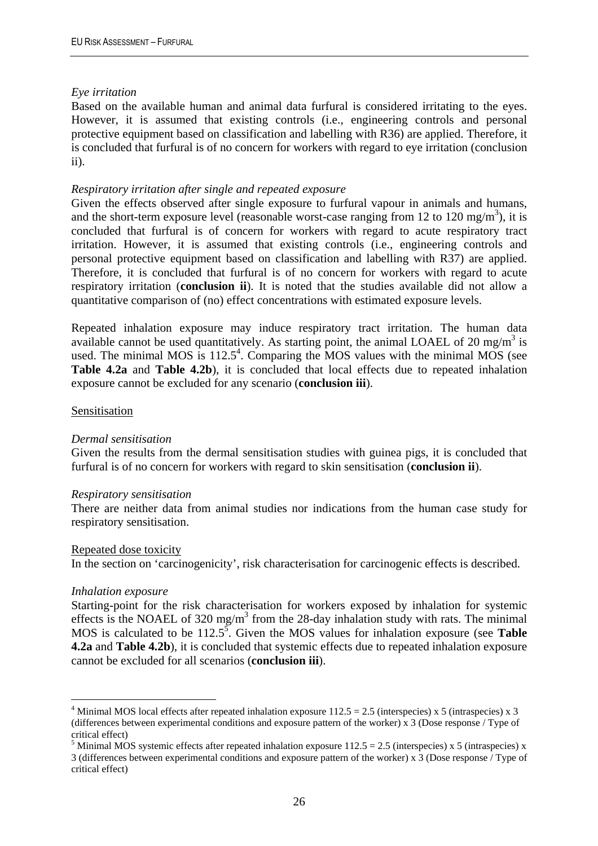#### *Eye irritation*

Based on the available human and animal data furfural is considered irritating to the eyes. However, it is assumed that existing controls (i.e., engineering controls and personal protective equipment based on classification and labelling with R36) are applied. Therefore, it is concluded that furfural is of no concern for workers with regard to eye irritation (conclusion ii).

#### *Respiratory irritation after single and repeated exposure*

Given the effects observed after single exposure to furfural vapour in animals and humans, and the short-term exposure level (reasonable worst-case ranging from 12 to 120 mg/m<sup>3</sup>), it is concluded that furfural is of concern for workers with regard to acute respiratory tract irritation. However, it is assumed that existing controls (i.e., engineering controls and personal protective equipment based on classification and labelling with R37) are applied. Therefore, it is concluded that furfural is of no concern for workers with regard to acute respiratory irritation (**conclusion ii**). It is noted that the studies available did not allow a quantitative comparison of (no) effect concentrations with estimated exposure levels.

Repeated inhalation exposure may induce respiratory tract irritation. The human data available cannot be used quantitatively. As starting point, the animal LOAEL of 20 mg/m<sup>3</sup> is used. The minimal MOS is  $112.5^4$ . Comparing the MOS values with the minimal MOS (see **Table 4.2a** and **Table 4.2b**), it is concluded that local effects due to repeated inhalation exposure cannot be excluded for any scenario (**conclusion iii**).

#### **Sensitisation**

#### *Dermal sensitisation*

Given the results from the dermal sensitisation studies with guinea pigs, it is concluded that furfural is of no concern for workers with regard to skin sensitisation (**conclusion ii**).

#### *Respiratory sensitisation*

There are neither data from animal studies nor indications from the human case study for respiratory sensitisation.

#### Repeated dose toxicity

In the section on 'carcinogenicity', risk characterisation for carcinogenic effects is described.

#### *Inhalation exposure*

 $\overline{a}$ 

Starting-point for the risk characterisation for workers exposed by inhalation for systemic effects is the NOAEL of 320 mg/m<sup>3</sup> from the 28-day inhalation study with rats. The minimal MOS is calculated to be  $112.5^5$ . Given the MOS values for inhalation exposure (see **Table 4.2a** and **Table 4.2b**), it is concluded that systemic effects due to repeated inhalation exposure cannot be excluded for all scenarios (**conclusion iii**).

<sup>&</sup>lt;sup>4</sup> Minimal MOS local effects after repeated inhalation exposure  $112.5 = 2.5$  (interspecies) x 5 (intraspecies) x 3 (differences between experimental conditions and exposure pattern of the worker) x 3 (Dose response / Type of critical effect)

<sup>&</sup>lt;sup>5</sup> Minimal MOS systemic effects after repeated inhalation exposure  $112.5 = 2.5$  (interspecies) x 5 (intraspecies) x 3 (differences between experimental conditions and exposure pattern of the worker) x 3 (Dose response / Type of critical effect)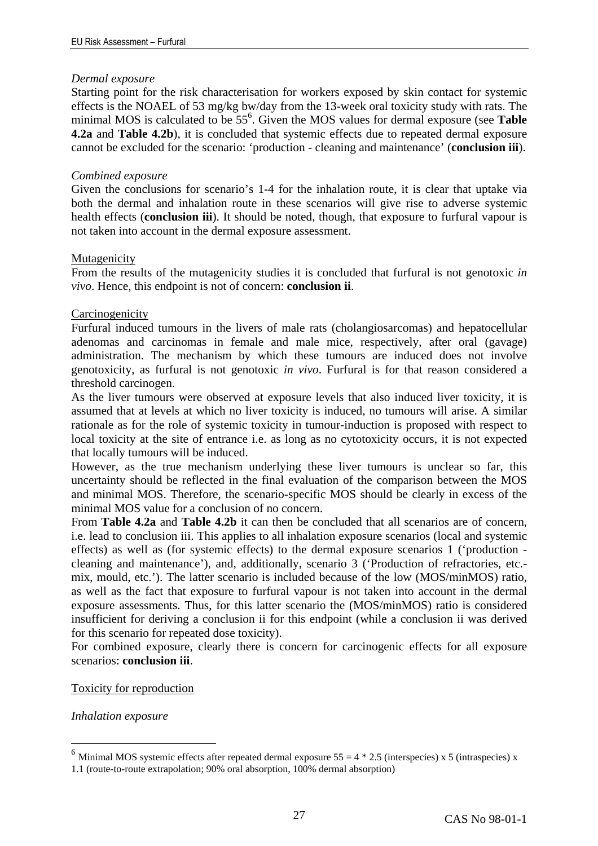#### *Dermal exposure*

Starting point for the risk characterisation for workers exposed by skin contact for systemic effects is the NOAEL of 53 mg/kg bw/day from the 13-week oral toxicity study with rats. The minimal MOS is calculated to be 55<sup>6</sup>. Given the MOS values for dermal exposure (see **Table 4.2a** and **Table 4.2b**), it is concluded that systemic effects due to repeated dermal exposure cannot be excluded for the scenario: 'production - cleaning and maintenance' (**conclusion iii**).

#### *Combined exposure*

Given the conclusions for scenario's 1-4 for the inhalation route, it is clear that uptake via both the dermal and inhalation route in these scenarios will give rise to adverse systemic health effects (**conclusion iii**). It should be noted, though, that exposure to furfural vapour is not taken into account in the dermal exposure assessment.

#### Mutagenicity

From the results of the mutagenicity studies it is concluded that furfural is not genotoxic *in vivo*. Hence, this endpoint is not of concern: **conclusion ii**.

#### **Carcinogenicity**

Furfural induced tumours in the livers of male rats (cholangiosarcomas) and hepatocellular adenomas and carcinomas in female and male mice, respectively, after oral (gavage) administration. The mechanism by which these tumours are induced does not involve genotoxicity, as furfural is not genotoxic *in vivo*. Furfural is for that reason considered a threshold carcinogen.

As the liver tumours were observed at exposure levels that also induced liver toxicity, it is assumed that at levels at which no liver toxicity is induced, no tumours will arise. A similar rationale as for the role of systemic toxicity in tumour-induction is proposed with respect to local toxicity at the site of entrance i.e. as long as no cytotoxicity occurs, it is not expected that locally tumours will be induced.

However, as the true mechanism underlying these liver tumours is unclear so far, this uncertainty should be reflected in the final evaluation of the comparison between the MOS and minimal MOS. Therefore, the scenario-specific MOS should be clearly in excess of the minimal MOS value for a conclusion of no concern.

From **Table 4.2a** and **Table 4.2b** it can then be concluded that all scenarios are of concern, i.e. lead to conclusion iii. This applies to all inhalation exposure scenarios (local and systemic effects) as well as (for systemic effects) to the dermal exposure scenarios 1 ('production cleaning and maintenance'), and, additionally, scenario 3 ('Production of refractories, etc. mix, mould, etc.'). The latter scenario is included because of the low (MOS/minMOS) ratio, as well as the fact that exposure to furfural vapour is not taken into account in the dermal exposure assessments. Thus, for this latter scenario the (MOS/minMOS) ratio is considered insufficient for deriving a conclusion ii for this endpoint (while a conclusion ii was derived for this scenario for repeated dose toxicity).

For combined exposure, clearly there is concern for carcinogenic effects for all exposure scenarios: **conclusion iii**.

#### Toxicity for reproduction

*Inhalation exposure* 

 $\overline{a}$ 

<sup>&</sup>lt;sup>6</sup> Minimal MOS systemic effects after repeated dermal exposure  $55 = 4 * 2.5$  (interspecies) x 5 (intraspecies) x

<sup>1.1 (</sup>route-to-route extrapolation; 90% oral absorption, 100% dermal absorption)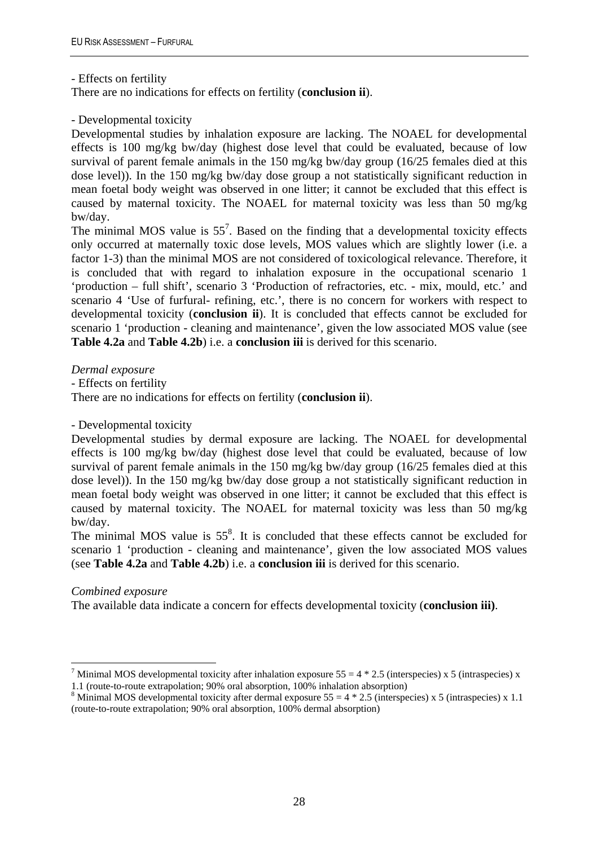- Effects on fertility

There are no indications for effects on fertility (**conclusion ii**).

#### - Developmental toxicity

Developmental studies by inhalation exposure are lacking. The NOAEL for developmental effects is 100 mg/kg bw/day (highest dose level that could be evaluated, because of low survival of parent female animals in the 150 mg/kg bw/day group (16/25 females died at this dose level)). In the 150 mg/kg bw/day dose group a not statistically significant reduction in mean foetal body weight was observed in one litter; it cannot be excluded that this effect is caused by maternal toxicity. The NOAEL for maternal toxicity was less than 50 mg/kg bw/day.

The minimal MOS value is  $55<sup>7</sup>$ . Based on the finding that a developmental toxicity effects only occurred at maternally toxic dose levels, MOS values which are slightly lower (i.e. a factor 1-3) than the minimal MOS are not considered of toxicological relevance. Therefore, it is concluded that with regard to inhalation exposure in the occupational scenario 1 'production – full shift', scenario 3 'Production of refractories, etc. - mix, mould, etc.' and scenario 4 'Use of furfural- refining, etc.', there is no concern for workers with respect to developmental toxicity (**conclusion ii**). It is concluded that effects cannot be excluded for scenario 1 'production - cleaning and maintenance', given the low associated MOS value (see **Table 4.2a** and **Table 4.2b**) i.e. a **conclusion iii** is derived for this scenario.

*Dermal exposure* 

- Effects on fertility

There are no indications for effects on fertility (**conclusion ii**).

#### - Developmental toxicity

Developmental studies by dermal exposure are lacking. The NOAEL for developmental effects is 100 mg/kg bw/day (highest dose level that could be evaluated, because of low survival of parent female animals in the 150 mg/kg bw/day group (16/25 females died at this dose level)). In the 150 mg/kg bw/day dose group a not statistically significant reduction in mean foetal body weight was observed in one litter; it cannot be excluded that this effect is caused by maternal toxicity. The NOAEL for maternal toxicity was less than 50 mg/kg bw/day.

The minimal MOS value is  $55<sup>8</sup>$ . It is concluded that these effects cannot be excluded for scenario 1 'production - cleaning and maintenance', given the low associated MOS values (see **Table 4.2a** and **Table 4.2b**) i.e. a **conclusion iii** is derived for this scenario.

#### *Combined exposure*

 $\overline{a}$ 

The available data indicate a concern for effects developmental toxicity (**conclusion iii)**.

<sup>&</sup>lt;sup>7</sup> Minimal MOS developmental toxicity after inhalation exposure  $55 = 4 * 2.5$  (interspecies) x 5 (intraspecies) x 1.1 (route-to-route extrapolation; 90% oral absorption, 100% inhalation absorption)

<sup>&</sup>lt;sup>8</sup> Minimal MOS developmental toxicity after dermal exposure  $55 = 4 * 2.5$  (interspecies) x 5 (intraspecies) x 1.1 (route-to-route extrapolation; 90% oral absorption, 100% dermal absorption)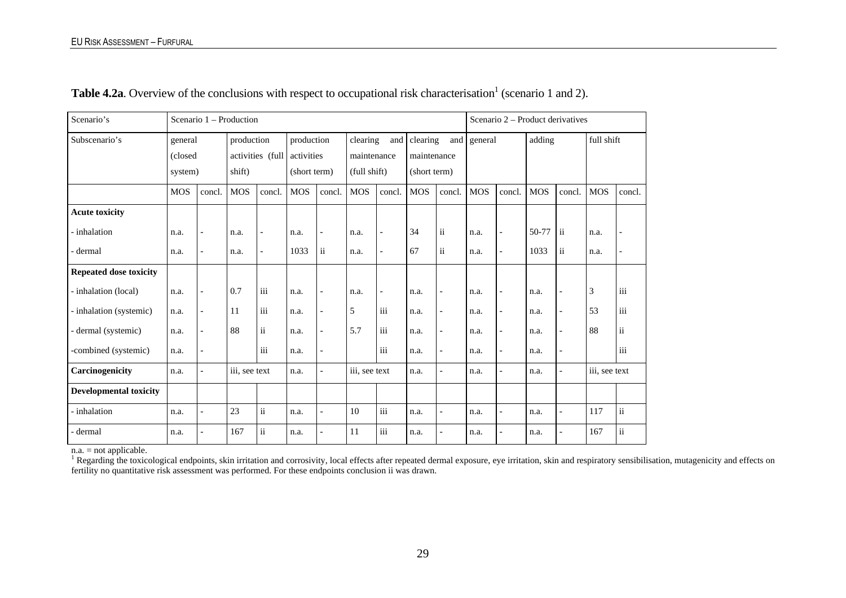| Scenario's                    |            | Scenario 1 – Production  |               |                          |            |               |                 |                           |                 |                          | Scenario 2 – Product derivatives |                |            |                          |               |                         |  |
|-------------------------------|------------|--------------------------|---------------|--------------------------|------------|---------------|-----------------|---------------------------|-----------------|--------------------------|----------------------------------|----------------|------------|--------------------------|---------------|-------------------------|--|
| Subscenario's<br>general      |            |                          | production    |                          | production |               | clearing<br>and |                           | clearing<br>and |                          | general                          |                | adding     |                          | full shift    |                         |  |
|                               | (closed    |                          |               | activities (full         | activities |               | maintenance     |                           | maintenance     |                          |                                  |                |            |                          |               |                         |  |
|                               |            | system)                  |               | shift)                   |            | (short term)  |                 | (full shift)              |                 | (short term)             |                                  |                |            |                          |               |                         |  |
|                               | <b>MOS</b> | concl.                   | <b>MOS</b>    | concl.                   | <b>MOS</b> | concl.        | <b>MOS</b>      | concl.                    | <b>MOS</b>      | concl.                   | <b>MOS</b>                       | concl.         | <b>MOS</b> | concl.                   | <b>MOS</b>    | concl.                  |  |
| <b>Acute toxicity</b>         |            |                          |               |                          |            |               |                 |                           |                 |                          |                                  |                |            |                          |               |                         |  |
| - inhalation                  | n.a.       | $\overline{\phantom{a}}$ | n.a.          | $\overline{\phantom{a}}$ | n.a.       |               | n.a.            | $\overline{\phantom{a}}$  | 34              | $\rm ii$                 | n.a.                             |                | 50-77      | $\mathbf{ii}$            | n.a.          |                         |  |
| dermal                        | n.a.       | $\overline{\phantom{a}}$ | n.a.          | $\overline{\phantom{a}}$ | 1033       | $\mathbf{ii}$ | n.a.            | $\overline{\phantom{a}}$  | 67              | $\mathrm{ii}$            | n.a.                             | $\overline{a}$ | 1033       | $\rm ii$                 | n.a.          | $\overline{a}$          |  |
| <b>Repeated dose toxicity</b> |            |                          |               |                          |            |               |                 |                           |                 |                          |                                  |                |            |                          |               |                         |  |
| - inhalation (local)          | n.a.       | $\overline{a}$           | 0.7           | $\overline{\text{iii}}$  | n.a.       |               | n.a.            | $\overline{\phantom{a}}$  | n.a.            | $\overline{\phantom{0}}$ | n.a.                             |                | n.a.       | $\overline{\phantom{a}}$ | 3             | $\overline{\text{iii}}$ |  |
| - inhalation (systemic)       | n.a.       | $\overline{a}$           | 11            | $\ddot{\mathbf{m}}$      | n.a.       |               | 5               | $\overline{\textbf{iii}}$ | n.a.            | $\overline{\phantom{0}}$ | n.a.                             |                | n.a.       |                          | 53            | $\overline{\text{iii}}$ |  |
| - dermal (systemic)           | n.a.       | $\overline{a}$           | 88            | $\mathbf{ii}$            | n.a.       |               | 5.7             | iii                       | n.a.            | $\overline{\phantom{0}}$ | n.a.                             |                | n.a.       | $\overline{a}$           | 88            | $\ddot{\mathbf{i}}$     |  |
| -combined (systemic)          | n.a.       | $\overline{a}$           |               | $\overline{\text{iii}}$  | n.a.       |               |                 | iii                       | n.a.            | $\overline{a}$           | n.a.                             |                | n.a.       | $\overline{\phantom{a}}$ |               | $\overline{\text{iii}}$ |  |
| Carcinogenicity               | n.a.       | $\overline{\phantom{0}}$ | iii, see text |                          | n.a.       |               | iii, see text   |                           | n.a.            | $\overline{\phantom{0}}$ |                                  |                | n.a.       |                          | iii, see text |                         |  |
| <b>Developmental toxicity</b> |            |                          |               |                          |            |               |                 |                           |                 |                          |                                  |                |            |                          |               |                         |  |
| - inhalation                  | n.a.       | $\overline{a}$           | 23            | $\mathbf{ii}$            | n.a.       |               | 10              | $\ddot{\mathbf{m}}$       | n.a.            | $\overline{\phantom{0}}$ | n.a.                             |                | n.a.       | $\overline{a}$           | 117           | $\ddot{\rm n}$          |  |
| - dermal                      | n.a.       | $\overline{a}$           | 167           | ii                       | n.a.       |               | 11              | iii                       | n.a.            | $\overline{\phantom{0}}$ | n.a.                             |                | n.a.       |                          | 167           | $\mathrm{ii}$           |  |

**Table 4.2a**. Overview of the conclusions with respect to occupational risk characterisation<sup>1</sup> (scenario 1 and 2).

n.a. = not applicable.

<sup>1</sup> Regarding the toxicological endpoints, skin irritation and corrosivity, local effects after repeated dermal exposure, eye irritation, skin and respiratory sensibilisation, mutagenicity and effects on fertility no quantitative risk assessment was performed. For these endpoints conclusion ii was drawn.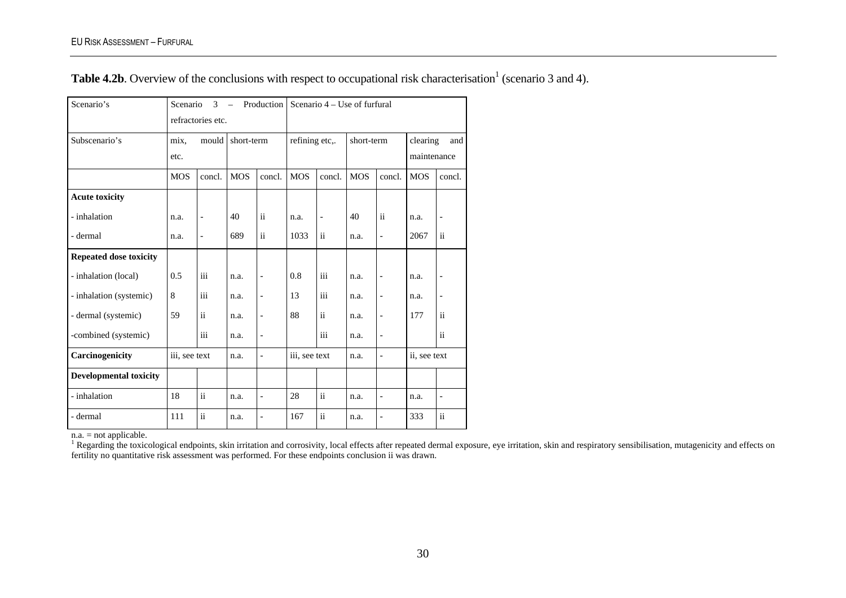**Table 4.2b**. Overview of the conclusions with respect to occupational risk characterisation<sup>1</sup> (scenario 3 and 4).

| Scenario's                    | Production<br>Scenario<br>3<br>$\equiv$<br>refractories etc. |                          |            | Scenario 4 – Use of furfural |                |                          |            |                          |                 |                          |
|-------------------------------|--------------------------------------------------------------|--------------------------|------------|------------------------------|----------------|--------------------------|------------|--------------------------|-----------------|--------------------------|
|                               |                                                              |                          |            |                              |                |                          |            |                          |                 |                          |
| Subscenario's                 | mix,                                                         | mould                    | short-term |                              | refining etc,. |                          | short-term |                          | clearing<br>and |                          |
|                               | etc.                                                         |                          |            |                              |                |                          |            |                          | maintenance     |                          |
|                               | <b>MOS</b>                                                   | concl.                   | <b>MOS</b> | concl.                       | <b>MOS</b>     | concl.                   | <b>MOS</b> | concl.                   | <b>MOS</b>      | concl.                   |
| <b>Acute toxicity</b>         |                                                              |                          |            |                              |                |                          |            |                          |                 |                          |
| - inhalation                  | n.a.                                                         | $\overline{\phantom{a}}$ | 40         | $\ddot{\rm ii}$              | n.a.           | $\overline{\phantom{a}}$ | 40         | $\mathbf{ii}$            | n.a.            | $\overline{\phantom{0}}$ |
| - dermal                      | n.a.                                                         | $\overline{a}$           | 689        | $\ddot{\mathbf{i}}$          | 1033           | ii                       | n.a.       | $\overline{\phantom{0}}$ | 2067            | ii                       |
| <b>Repeated dose toxicity</b> |                                                              |                          |            |                              |                |                          |            |                          |                 |                          |
| - inhalation (local)          | 0.5                                                          | iii                      | n.a.       | $\overline{\phantom{0}}$     | 0.8            | iii                      | n.a.       | $\overline{\phantom{0}}$ | n.a.            | $\overline{\phantom{0}}$ |
| - inhalation (systemic)       | 8                                                            | iii                      | n.a.       | $\overline{a}$               | 13             | iii                      | n.a.       | $\overline{a}$           | n.a.            | $\overline{a}$           |
| - dermal (systemic)           | 59                                                           | ii                       | n.a.       | $\qquad \qquad \blacksquare$ | 88             | ii                       | n.a.       | $\overline{a}$           | 177             | $\ddot{\mathbf{i}}$      |
| -combined (systemic)          |                                                              | iii                      | n.a.       | $\overline{\phantom{0}}$     |                | $\rm iii$                | n.a.       | $\qquad \qquad -$        |                 | $\ddot{\rm n}$           |
| Carcinogenicity               | iii, see text                                                |                          | n.a.       | $\overline{\phantom{0}}$     | iii, see text  |                          | n.a.       | $\overline{a}$           | ii, see text    |                          |
| <b>Developmental toxicity</b> |                                                              |                          |            |                              |                |                          |            |                          |                 |                          |
| - inhalation                  | 18                                                           | $\ddot{\mathbf{i}}$      | n.a.       | $\overline{\phantom{0}}$     | 28             | ii                       | n.a.       | $\overline{\phantom{0}}$ | n.a.            | $\overline{\phantom{0}}$ |
| - dermal                      | 111                                                          | $\mathbf{ii}$            | n.a.       | $\qquad \qquad \blacksquare$ | 167            | $\ddot{\mathbf{i}}$      | n.a.       | $\overline{\phantom{0}}$ | 333             | $\mathbf{ii}$            |

 $n.a. = not applicable.$ 

<sup>1</sup> Regarding the toxicological endpoints, skin irritation and corrosivity, local effects after repeated dermal exposure, eye irritation, skin and respiratory sensibilisation, mutagenicity and effects on fertility no quantitative risk assessment was performed. For these endpoints conclusion ii was drawn.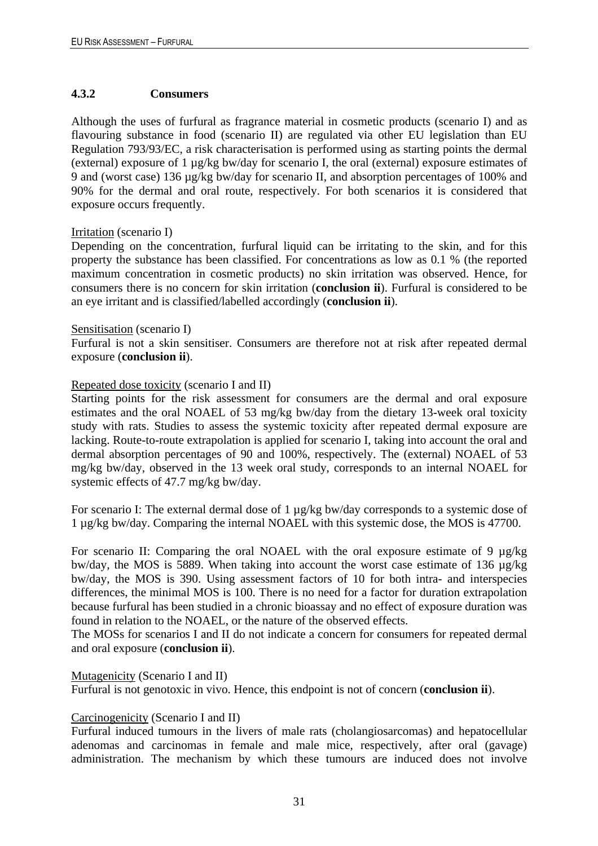#### <span id="page-34-0"></span>**4.3.2 Consumers**

Although the uses of furfural as fragrance material in cosmetic products (scenario I) and as flavouring substance in food (scenario II) are regulated via other EU legislation than EU Regulation 793/93/EC, a risk characterisation is performed using as starting points the dermal (external) exposure of 1 µg/kg bw/day for scenario I, the oral (external) exposure estimates of 9 and (worst case) 136 µg/kg bw/day for scenario II, and absorption percentages of 100% and 90% for the dermal and oral route, respectively. For both scenarios it is considered that exposure occurs frequently.

#### Irritation (scenario I)

Depending on the concentration, furfural liquid can be irritating to the skin, and for this property the substance has been classified. For concentrations as low as 0.1 % (the reported maximum concentration in cosmetic products) no skin irritation was observed. Hence, for consumers there is no concern for skin irritation (**conclusion ii**). Furfural is considered to be an eye irritant and is classified/labelled accordingly (**conclusion ii**).

#### Sensitisation (scenario I)

Furfural is not a skin sensitiser. Consumers are therefore not at risk after repeated dermal exposure (**conclusion ii**).

#### Repeated dose toxicity (scenario I and II)

Starting points for the risk assessment for consumers are the dermal and oral exposure estimates and the oral NOAEL of 53 mg/kg bw/day from the dietary 13-week oral toxicity study with rats. Studies to assess the systemic toxicity after repeated dermal exposure are lacking. Route-to-route extrapolation is applied for scenario I, taking into account the oral and dermal absorption percentages of 90 and 100%, respectively. The (external) NOAEL of 53 mg/kg bw/day, observed in the 13 week oral study, corresponds to an internal NOAEL for systemic effects of 47.7 mg/kg bw/day.

For scenario I: The external dermal dose of 1 µg/kg bw/day corresponds to a systemic dose of 1 µg/kg bw/day. Comparing the internal NOAEL with this systemic dose, the MOS is 47700.

For scenario II: Comparing the oral NOAEL with the oral exposure estimate of 9 µg/kg bw/day, the MOS is 5889. When taking into account the worst case estimate of 136 µg/kg bw/day, the MOS is 390. Using assessment factors of 10 for both intra- and interspecies differences, the minimal MOS is 100. There is no need for a factor for duration extrapolation because furfural has been studied in a chronic bioassay and no effect of exposure duration was found in relation to the NOAEL, or the nature of the observed effects.

The MOSs for scenarios I and II do not indicate a concern for consumers for repeated dermal and oral exposure (**conclusion ii**).

#### Mutagenicity (Scenario I and II)

Furfural is not genotoxic in vivo. Hence, this endpoint is not of concern (**conclusion ii**).

#### Carcinogenicity (Scenario I and II)

Furfural induced tumours in the livers of male rats (cholangiosarcomas) and hepatocellular adenomas and carcinomas in female and male mice, respectively, after oral (gavage) administration. The mechanism by which these tumours are induced does not involve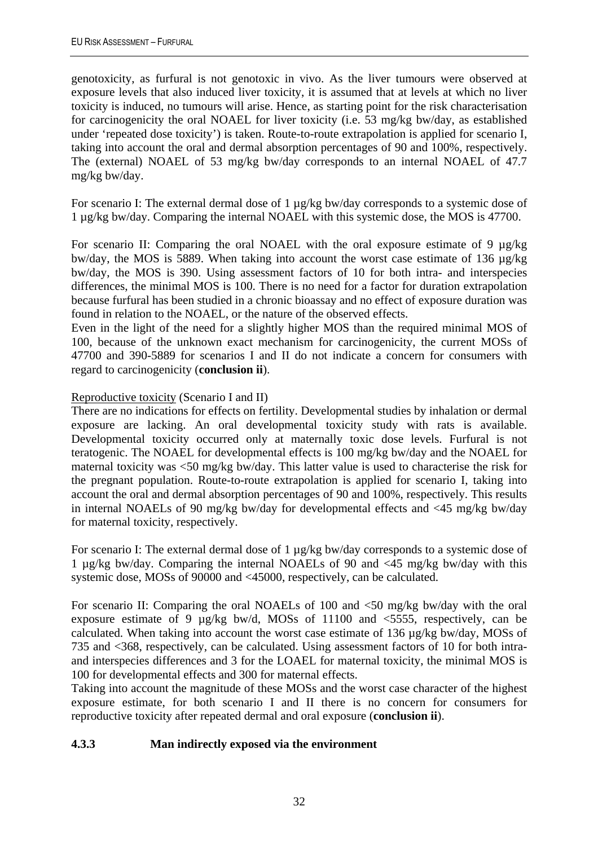genotoxicity, as furfural is not genotoxic in vivo. As the liver tumours were observed at exposure levels that also induced liver toxicity, it is assumed that at levels at which no liver toxicity is induced, no tumours will arise. Hence, as starting point for the risk characterisation for carcinogenicity the oral NOAEL for liver toxicity (i.e. 53 mg/kg bw/day, as established under 'repeated dose toxicity') is taken. Route-to-route extrapolation is applied for scenario I, taking into account the oral and dermal absorption percentages of 90 and 100%, respectively. The (external) NOAEL of 53 mg/kg bw/day corresponds to an internal NOAEL of 47.7 mg/kg bw/day.

For scenario I: The external dermal dose of 1 µg/kg bw/day corresponds to a systemic dose of 1 µg/kg bw/day. Comparing the internal NOAEL with this systemic dose, the MOS is 47700.

For scenario II: Comparing the oral NOAEL with the oral exposure estimate of 9 µg/kg bw/day, the MOS is 5889. When taking into account the worst case estimate of 136 µg/kg bw/day, the MOS is 390. Using assessment factors of 10 for both intra- and interspecies differences, the minimal MOS is 100. There is no need for a factor for duration extrapolation because furfural has been studied in a chronic bioassay and no effect of exposure duration was found in relation to the NOAEL, or the nature of the observed effects.

Even in the light of the need for a slightly higher MOS than the required minimal MOS of 100, because of the unknown exact mechanism for carcinogenicity, the current MOSs of 47700 and 390-5889 for scenarios I and II do not indicate a concern for consumers with regard to carcinogenicity (**conclusion ii**).

### Reproductive toxicity (Scenario I and II)

There are no indications for effects on fertility. Developmental studies by inhalation or dermal exposure are lacking. An oral developmental toxicity study with rats is available. Developmental toxicity occurred only at maternally toxic dose levels. Furfural is not teratogenic. The NOAEL for developmental effects is 100 mg/kg bw/day and the NOAEL for maternal toxicity was <50 mg/kg bw/day. This latter value is used to characterise the risk for the pregnant population. Route-to-route extrapolation is applied for scenario I, taking into account the oral and dermal absorption percentages of 90 and 100%, respectively. This results in internal NOAELs of 90 mg/kg bw/day for developmental effects and <45 mg/kg bw/day for maternal toxicity, respectively.

For scenario I: The external dermal dose of 1 µg/kg bw/day corresponds to a systemic dose of 1 µg/kg bw/day. Comparing the internal NOAELs of 90 and <45 mg/kg bw/day with this systemic dose, MOSs of 90000 and <45000, respectively, can be calculated.

For scenario II: Comparing the oral NOAELs of 100 and <50 mg/kg bw/day with the oral exposure estimate of 9 µg/kg bw/d, MOSs of 11100 and <5555, respectively, can be calculated. When taking into account the worst case estimate of 136 µg/kg bw/day, MOSs of 735 and <368, respectively, can be calculated. Using assessment factors of 10 for both intraand interspecies differences and 3 for the LOAEL for maternal toxicity, the minimal MOS is 100 for developmental effects and 300 for maternal effects.

Taking into account the magnitude of these MOSs and the worst case character of the highest exposure estimate, for both scenario I and II there is no concern for consumers for reproductive toxicity after repeated dermal and oral exposure (**conclusion ii**).

### <span id="page-35-0"></span>**4.3.3 Man indirectly exposed via the environment**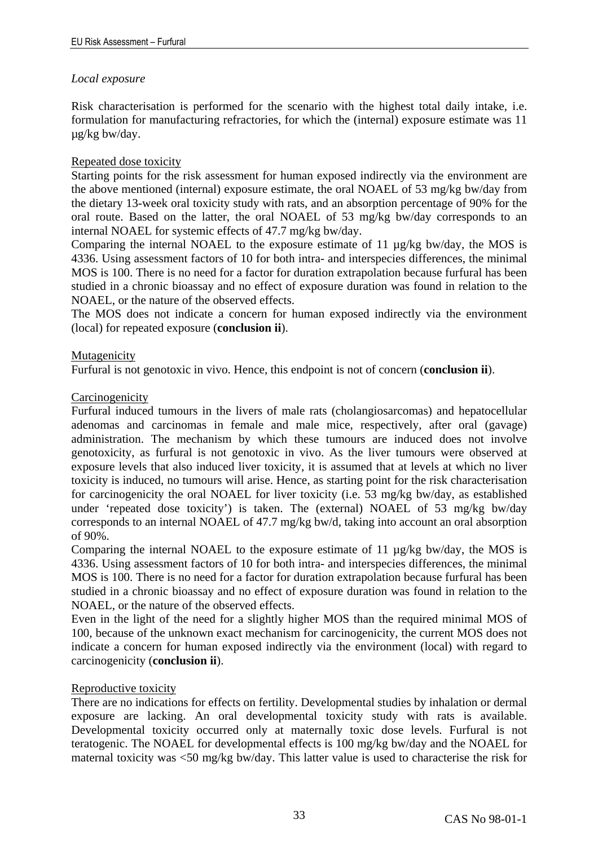#### *Local exposure*

Risk characterisation is performed for the scenario with the highest total daily intake, i.e. formulation for manufacturing refractories, for which the (internal) exposure estimate was 11 µg/kg bw/day.

#### Repeated dose toxicity

Starting points for the risk assessment for human exposed indirectly via the environment are the above mentioned (internal) exposure estimate, the oral NOAEL of 53 mg/kg bw/day from the dietary 13-week oral toxicity study with rats, and an absorption percentage of 90% for the oral route. Based on the latter, the oral NOAEL of 53 mg/kg bw/day corresponds to an internal NOAEL for systemic effects of 47.7 mg/kg bw/day.

Comparing the internal NOAEL to the exposure estimate of 11 µg/kg bw/day, the MOS is 4336. Using assessment factors of 10 for both intra- and interspecies differences, the minimal MOS is 100. There is no need for a factor for duration extrapolation because furfural has been studied in a chronic bioassay and no effect of exposure duration was found in relation to the NOAEL, or the nature of the observed effects.

The MOS does not indicate a concern for human exposed indirectly via the environment (local) for repeated exposure (**conclusion ii**).

#### Mutagenicity

Furfural is not genotoxic in vivo. Hence, this endpoint is not of concern (**conclusion ii**).

#### **Carcinogenicity**

Furfural induced tumours in the livers of male rats (cholangiosarcomas) and hepatocellular adenomas and carcinomas in female and male mice, respectively, after oral (gavage) administration. The mechanism by which these tumours are induced does not involve genotoxicity, as furfural is not genotoxic in vivo. As the liver tumours were observed at exposure levels that also induced liver toxicity, it is assumed that at levels at which no liver toxicity is induced, no tumours will arise. Hence, as starting point for the risk characterisation for carcinogenicity the oral NOAEL for liver toxicity (i.e. 53 mg/kg bw/day, as established under 'repeated dose toxicity') is taken. The (external) NOAEL of 53 mg/kg bw/day corresponds to an internal NOAEL of 47.7 mg/kg bw/d, taking into account an oral absorption of 90%.

Comparing the internal NOAEL to the exposure estimate of 11 µg/kg bw/day, the MOS is 4336. Using assessment factors of 10 for both intra- and interspecies differences, the minimal MOS is 100. There is no need for a factor for duration extrapolation because furfural has been studied in a chronic bioassay and no effect of exposure duration was found in relation to the NOAEL, or the nature of the observed effects.

Even in the light of the need for a slightly higher MOS than the required minimal MOS of 100, because of the unknown exact mechanism for carcinogenicity, the current MOS does not indicate a concern for human exposed indirectly via the environment (local) with regard to carcinogenicity (**conclusion ii**).

#### Reproductive toxicity

There are no indications for effects on fertility. Developmental studies by inhalation or dermal exposure are lacking. An oral developmental toxicity study with rats is available. Developmental toxicity occurred only at maternally toxic dose levels. Furfural is not teratogenic. The NOAEL for developmental effects is 100 mg/kg bw/day and the NOAEL for maternal toxicity was  $\leq 50$  mg/kg bw/day. This latter value is used to characterise the risk for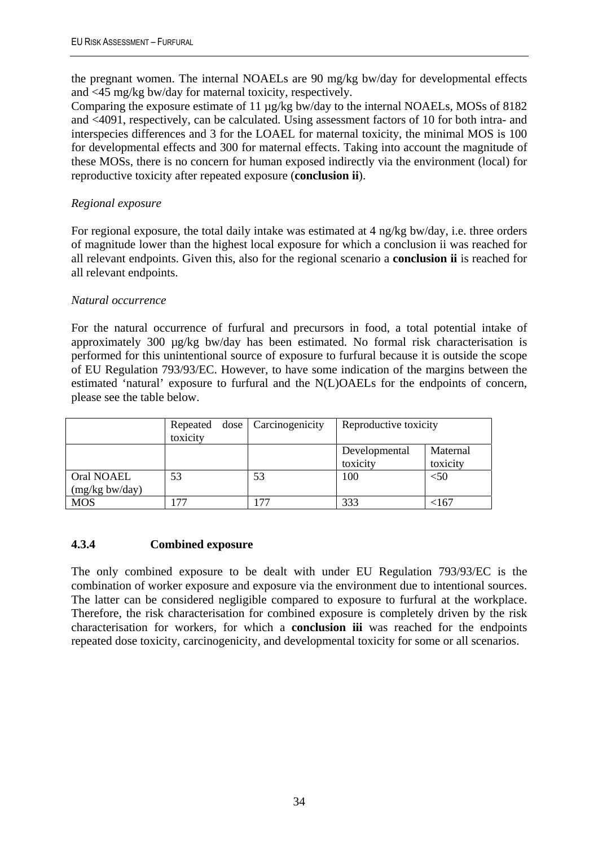the pregnant women. The internal NOAELs are 90 mg/kg bw/day for developmental effects and <45 mg/kg bw/day for maternal toxicity, respectively.

Comparing the exposure estimate of 11 µg/kg bw/day to the internal NOAELs, MOSs of 8182 and <4091, respectively, can be calculated. Using assessment factors of 10 for both intra- and interspecies differences and 3 for the LOAEL for maternal toxicity, the minimal MOS is 100 for developmental effects and 300 for maternal effects. Taking into account the magnitude of these MOSs, there is no concern for human exposed indirectly via the environment (local) for reproductive toxicity after repeated exposure (**conclusion ii**).

### *Regional exposure*

For regional exposure, the total daily intake was estimated at 4 ng/kg bw/day, i.e. three orders of magnitude lower than the highest local exposure for which a conclusion ii was reached for all relevant endpoints. Given this, also for the regional scenario a **conclusion ii** is reached for all relevant endpoints.

### *Natural occurrence*

For the natural occurrence of furfural and precursors in food, a total potential intake of approximately 300 µg/kg bw/day has been estimated. No formal risk characterisation is performed for this unintentional source of exposure to furfural because it is outside the scope of EU Regulation 793/93/EC. However, to have some indication of the margins between the estimated 'natural' exposure to furfural and the N(L)OAELs for the endpoints of concern, please see the table below.

|                  | Repeated<br>toxicity | dose   Carcinogenicity | Reproductive toxicity |              |
|------------------|----------------------|------------------------|-----------------------|--------------|
|                  |                      |                        | Developmental         | Maternal     |
|                  |                      |                        | toxicity              | toxicity     |
| Oral NOAEL       | 53                   | 53                     | 100                   | $< \! \! 50$ |
| $(mg/kg$ bw/day) |                      |                        |                       |              |
| <b>MOS</b>       | 77                   | . 77                   | 333                   | <167         |

### <span id="page-37-0"></span>**4.3.4 Combined exposure**

The only combined exposure to be dealt with under EU Regulation 793/93/EC is the combination of worker exposure and exposure via the environment due to intentional sources. The latter can be considered negligible compared to exposure to furfural at the workplace. Therefore, the risk characterisation for combined exposure is completely driven by the risk characterisation for workers, for which a **conclusion iii** was reached for the endpoints repeated dose toxicity, carcinogenicity, and developmental toxicity for some or all scenarios.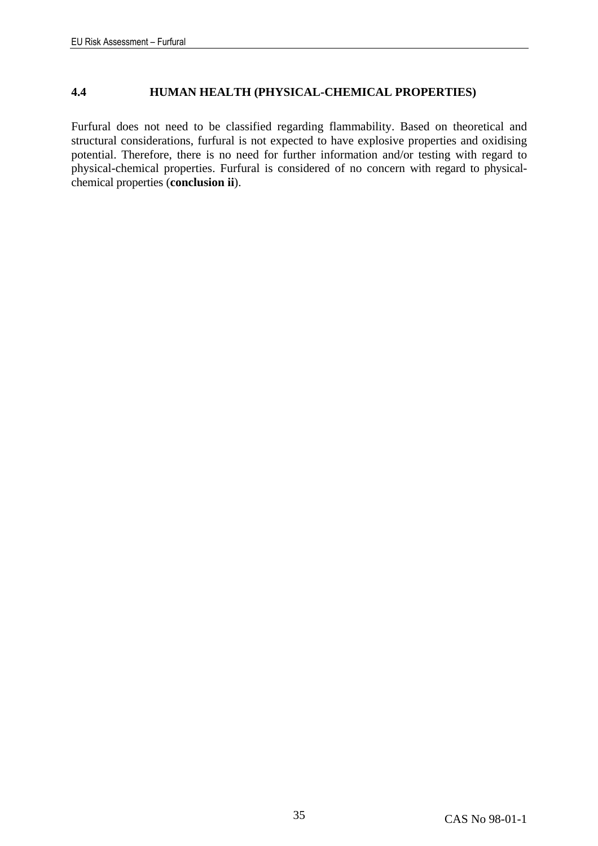#### <span id="page-38-0"></span>**4.4 HUMAN HEALTH (PHYSICAL-CHEMICAL PROPERTIES)**

Furfural does not need to be classified regarding flammability. Based on theoretical and structural considerations, furfural is not expected to have explosive properties and oxidising potential. Therefore, there is no need for further information and/or testing with regard to physical-chemical properties. Furfural is considered of no concern with regard to physicalchemical properties (**conclusion ii**).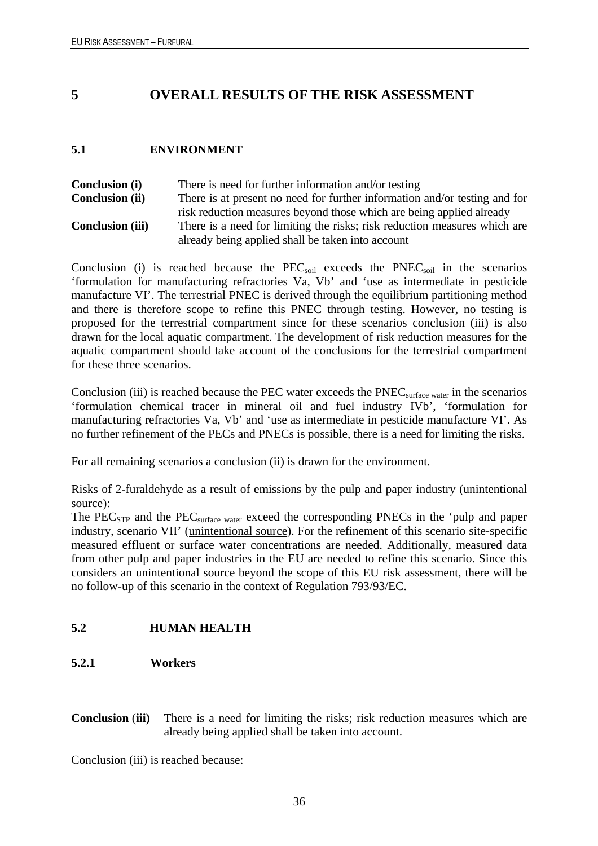## <span id="page-39-0"></span>**5 OVERALL RESULTS OF THE RISK ASSESSMENT**

#### <span id="page-39-1"></span>**5.1 ENVIRONMENT**

**Conclusion (i)** There is need for further information and/or testing **Conclusion (ii)** There is at present no need for further information and/or testing and for risk reduction measures beyond those which are being applied already **Conclusion (iii)** There is a need for limiting the risks; risk reduction measures which are already being applied shall be taken into account

Conclusion (i) is reached because the  $PEC<sub>soil</sub>$  exceeds the  $PNEC<sub>soil</sub>$  in the scenarios 'formulation for manufacturing refractories Va, Vb' and 'use as intermediate in pesticide manufacture VI'. The terrestrial PNEC is derived through the equilibrium partitioning method and there is therefore scope to refine this PNEC through testing. However, no testing is proposed for the terrestrial compartment since for these scenarios conclusion (iii) is also drawn for the local aquatic compartment. The development of risk reduction measures for the aquatic compartment should take account of the conclusions for the terrestrial compartment for these three scenarios.

Conclusion (iii) is reached because the PEC water exceeds the PNEC<sub>surface water</sub> in the scenarios 'formulation chemical tracer in mineral oil and fuel industry IVb', 'formulation for manufacturing refractories Va, Vb' and 'use as intermediate in pesticide manufacture VI'. As no further refinement of the PECs and PNECs is possible, there is a need for limiting the risks.

For all remaining scenarios a conclusion (ii) is drawn for the environment.

Risks of 2-furaldehyde as a result of emissions by the pulp and paper industry (unintentional source):

The PEC<sub>STP</sub> and the PEC<sub>surface water</sub> exceed the corresponding PNECs in the 'pulp and paper industry, scenario VII' (unintentional source). For the refinement of this scenario site-specific measured effluent or surface water concentrations are needed. Additionally, measured data from other pulp and paper industries in the EU are needed to refine this scenario. Since this considers an unintentional source beyond the scope of this EU risk assessment, there will be no follow-up of this scenario in the context of Regulation 793/93/EC.

### <span id="page-39-2"></span>**5.2 HUMAN HEALTH**

#### <span id="page-39-3"></span>**5.2.1 Workers**

**Conclusion (iii)** There is a need for limiting the risks; risk reduction measures which are already being applied shall be taken into account.

Conclusion (iii) is reached because: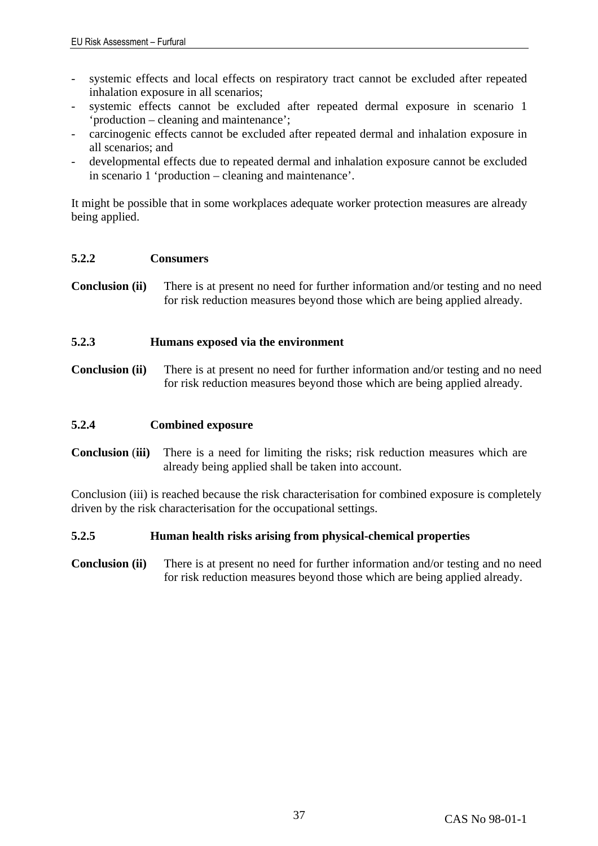- systemic effects and local effects on respiratory tract cannot be excluded after repeated inhalation exposure in all scenarios;
- systemic effects cannot be excluded after repeated dermal exposure in scenario 1 'production – cleaning and maintenance';
- carcinogenic effects cannot be excluded after repeated dermal and inhalation exposure in all scenarios; and
- developmental effects due to repeated dermal and inhalation exposure cannot be excluded in scenario 1 'production – cleaning and maintenance'.

It might be possible that in some workplaces adequate worker protection measures are already being applied.

#### <span id="page-40-0"></span>**5.2.2 Consumers**

**Conclusion (ii)** There is at present no need for further information and/or testing and no need for risk reduction measures beyond those which are being applied already.

#### <span id="page-40-1"></span>**5.2.3 Humans exposed via the environment**

**Conclusion (ii)** There is at present no need for further information and/or testing and no need for risk reduction measures beyond those which are being applied already.

### <span id="page-40-2"></span>**5.2.4 Combined exposure**

**Conclusion (iii)** There is a need for limiting the risks; risk reduction measures which are already being applied shall be taken into account.

Conclusion (iii) is reached because the risk characterisation for combined exposure is completely driven by the risk characterisation for the occupational settings.

#### <span id="page-40-3"></span>**5.2.5 Human health risks arising from physical-chemical properties**

**Conclusion (ii)** There is at present no need for further information and/or testing and no need for risk reduction measures beyond those which are being applied already.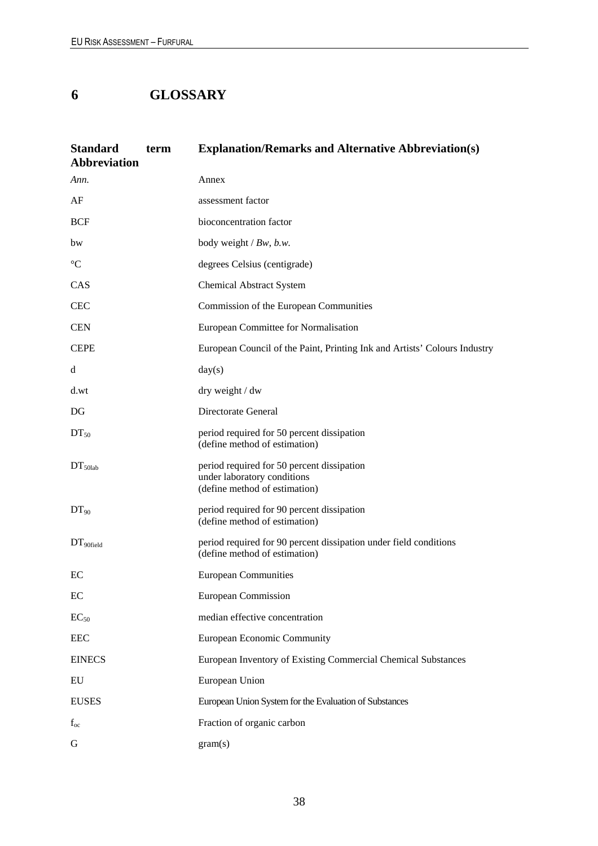# <span id="page-41-0"></span>**6 GLOSSARY**

| <b>Standard</b><br><b>Abbreviation</b> | term | <b>Explanation/Remarks and Alternative Abbreviation(s)</b>                                                 |
|----------------------------------------|------|------------------------------------------------------------------------------------------------------------|
| Ann.                                   |      | Annex                                                                                                      |
| AF                                     |      | assessment factor                                                                                          |
| <b>BCF</b>                             |      | bioconcentration factor                                                                                    |
| bw                                     |      | body weight $/Bw$ , b.w.                                                                                   |
| $\rm ^{\circ}C$                        |      | degrees Celsius (centigrade)                                                                               |
| CAS                                    |      | <b>Chemical Abstract System</b>                                                                            |
| <b>CEC</b>                             |      | Commission of the European Communities                                                                     |
| <b>CEN</b>                             |      | European Committee for Normalisation                                                                       |
| <b>CEPE</b>                            |      | European Council of the Paint, Printing Ink and Artists' Colours Industry                                  |
| d                                      |      | day(s)                                                                                                     |
| d.wt                                   |      | dry weight / dw                                                                                            |
| DG                                     |      | Directorate General                                                                                        |
| $DT_{50}$                              |      | period required for 50 percent dissipation<br>(define method of estimation)                                |
| $DT_{50lab}$                           |      | period required for 50 percent dissipation<br>under laboratory conditions<br>(define method of estimation) |
| $DT_{90}$                              |      | period required for 90 percent dissipation<br>(define method of estimation)                                |
| DT <sub>90field</sub>                  |      | period required for 90 percent dissipation under field conditions<br>(define method of estimation)         |
| EC                                     |      | <b>European Communities</b>                                                                                |
| EC                                     |      | <b>European Commission</b>                                                                                 |
| $EC_{50}$                              |      | median effective concentration                                                                             |
| <b>EEC</b>                             |      | <b>European Economic Community</b>                                                                         |
| <b>EINECS</b>                          |      | European Inventory of Existing Commercial Chemical Substances                                              |
| ${\rm EU}$                             |      | European Union                                                                                             |
| <b>EUSES</b>                           |      | European Union System for the Evaluation of Substances                                                     |
| $f_{oc}$                               |      | Fraction of organic carbon                                                                                 |
| G                                      |      | gram(s)                                                                                                    |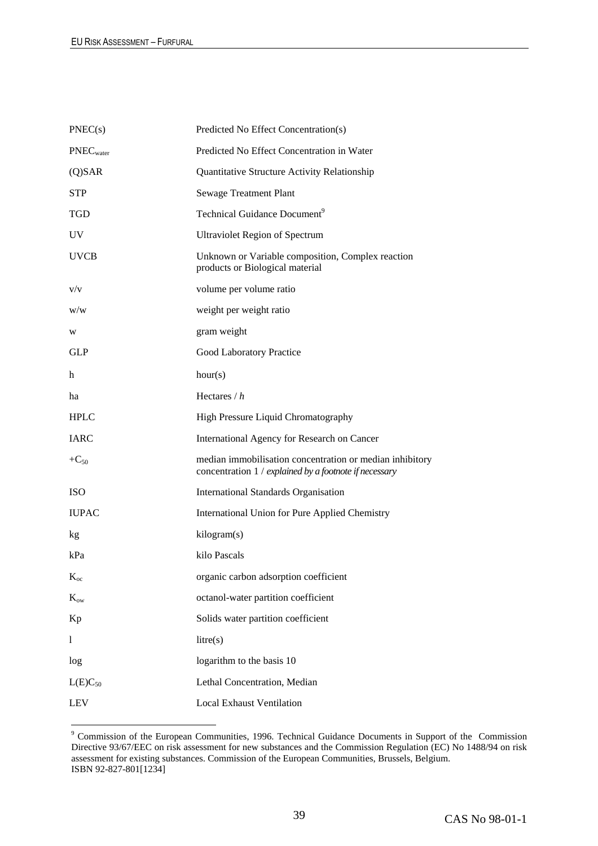| PNEC(s)               | Predicted No Effect Concentration(s)                                                                               |
|-----------------------|--------------------------------------------------------------------------------------------------------------------|
| PNEC <sub>water</sub> | Predicted No Effect Concentration in Water                                                                         |
| $(Q)$ SAR             | Quantitative Structure Activity Relationship                                                                       |
| <b>STP</b>            | Sewage Treatment Plant                                                                                             |
| TGD                   | Technical Guidance Document <sup>9</sup>                                                                           |
| UV <sub></sub>        | <b>Ultraviolet Region of Spectrum</b>                                                                              |
| <b>UVCB</b>           | Unknown or Variable composition, Complex reaction<br>products or Biological material                               |
| V/V                   | volume per volume ratio                                                                                            |
| W/W                   | weight per weight ratio                                                                                            |
| W                     | gram weight                                                                                                        |
| <b>GLP</b>            | Good Laboratory Practice                                                                                           |
| h                     | hour(s)                                                                                                            |
| ha                    | Hectares $/h$                                                                                                      |
| <b>HPLC</b>           | High Pressure Liquid Chromatography                                                                                |
| <b>IARC</b>           | International Agency for Research on Cancer                                                                        |
| $+C_{50}$             | median immobilisation concentration or median inhibitory<br>concentration 1 / explained by a footnote if necessary |
| <b>ISO</b>            | <b>International Standards Organisation</b>                                                                        |
| <b>IUPAC</b>          | International Union for Pure Applied Chemistry                                                                     |
| kg                    | kilogram(s)                                                                                                        |
| kPa                   | kilo Pascals                                                                                                       |
| $K_{oc}$              | organic carbon adsorption coefficient                                                                              |
| $K_{ow}$              | octanol-water partition coefficient                                                                                |
| Kp                    | Solids water partition coefficient                                                                                 |
| 1                     | litre(s)                                                                                                           |
| log                   | logarithm to the basis 10                                                                                          |
| $L(E)C_{50}$          | Lethal Concentration, Median                                                                                       |
| <b>LEV</b>            | <b>Local Exhaust Ventilation</b>                                                                                   |
|                       |                                                                                                                    |

<sup>&</sup>lt;sup>9</sup> Commission of the European Communities, 1996. Technical Guidance Documents in Support of the Commission Directive 93/67/EEC on risk assessment for new substances and the Commission Regulation (EC) No 1488/94 on risk assessment for existing substances. Commission of the European Communities, Brussels, Belgium. ISBN 92-827-801[1234]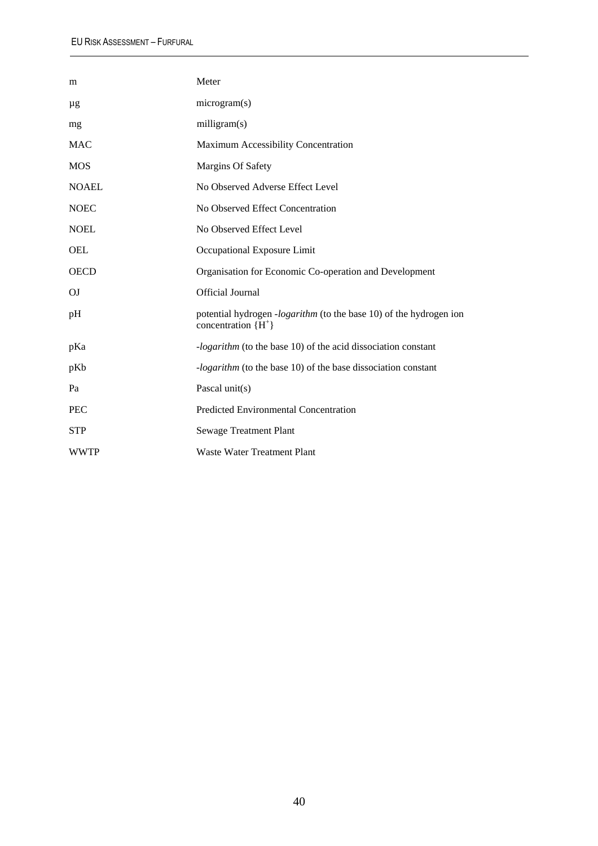| m            | Meter                                                                                       |
|--------------|---------------------------------------------------------------------------------------------|
| μg           | microgram(s)                                                                                |
| mg           | milligram(s)                                                                                |
| <b>MAC</b>   | Maximum Accessibility Concentration                                                         |
| <b>MOS</b>   | <b>Margins Of Safety</b>                                                                    |
| <b>NOAEL</b> | No Observed Adverse Effect Level                                                            |
| <b>NOEC</b>  | No Observed Effect Concentration                                                            |
| <b>NOEL</b>  | No Observed Effect Level                                                                    |
| OEL          | Occupational Exposure Limit                                                                 |
| <b>OECD</b>  | Organisation for Economic Co-operation and Development                                      |
| OJ           | Official Journal                                                                            |
| pH           | potential hydrogen -logarithm (to the base 10) of the hydrogen ion<br>concentration ${H^+}$ |
| pKa          | <i>-logarithm</i> (to the base 10) of the acid dissociation constant                        |
| pKb          | <i>-logarithm</i> (to the base 10) of the base dissociation constant                        |
| Pa           | Pascal unit(s)                                                                              |
| <b>PEC</b>   | Predicted Environmental Concentration                                                       |
| <b>STP</b>   | <b>Sewage Treatment Plant</b>                                                               |
| <b>WWTP</b>  | Waste Water Treatment Plant                                                                 |